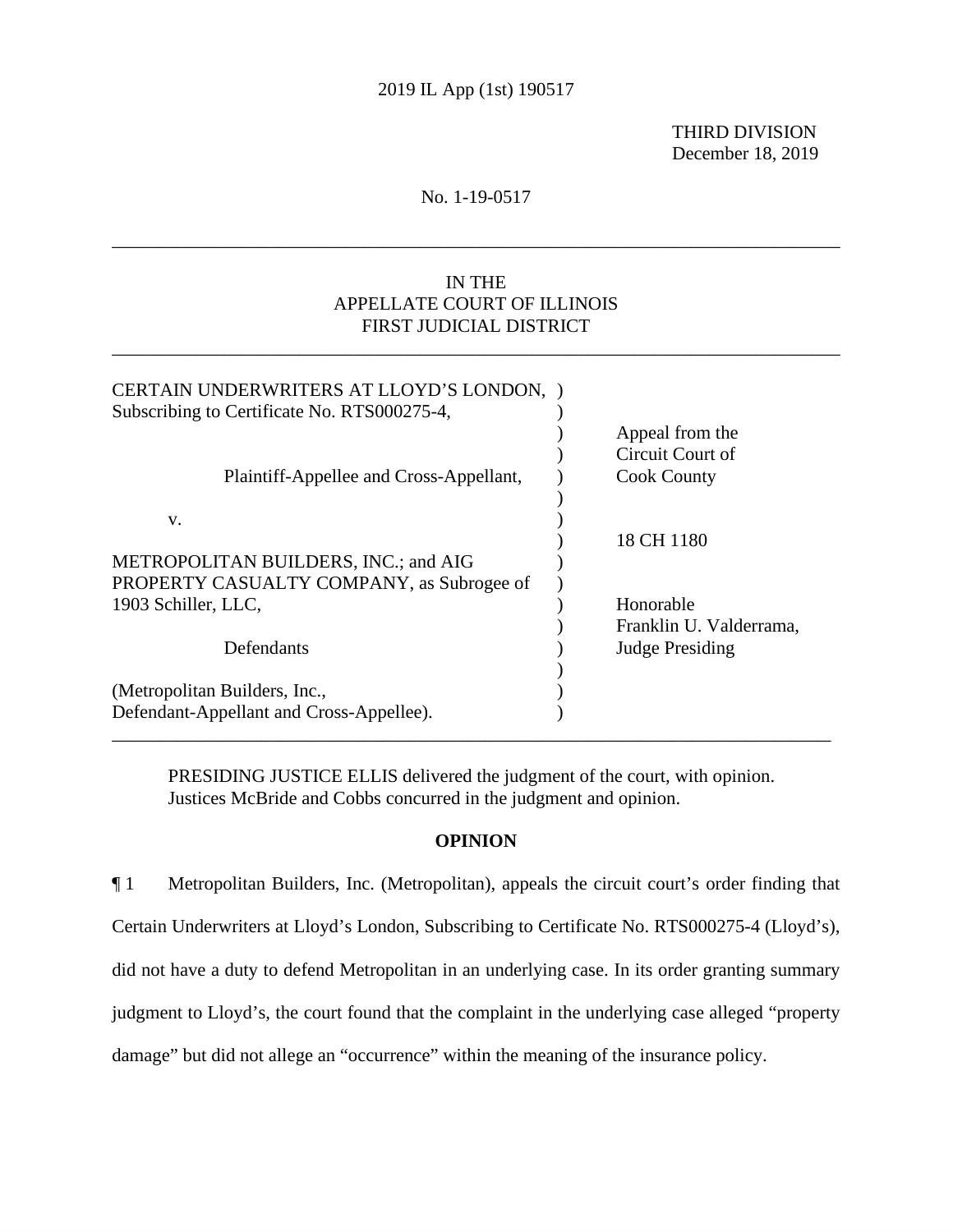THIRD DIVISION December 18, 2019

## No. 1-19-0517

\_\_\_\_\_\_\_\_\_\_\_\_\_\_\_\_\_\_\_\_\_\_\_\_\_\_\_\_\_\_\_\_\_\_\_\_\_\_\_\_\_\_\_\_\_\_\_\_\_\_\_\_\_\_\_\_\_\_\_\_\_\_\_\_\_\_\_\_\_\_\_\_\_\_\_\_\_\_

# IN THE APPELLATE COURT OF ILLINOIS FIRST JUDICIAL DISTRICT

\_\_\_\_\_\_\_\_\_\_\_\_\_\_\_\_\_\_\_\_\_\_\_\_\_\_\_\_\_\_\_\_\_\_\_\_\_\_\_\_\_\_\_\_\_\_\_\_\_\_\_\_\_\_\_\_\_\_\_\_\_\_\_\_\_\_\_\_\_\_\_\_\_\_\_\_\_\_

| CERTAIN UNDERWRITERS AT LLOYD'S LONDON,     |                         |
|---------------------------------------------|-------------------------|
| Subscribing to Certificate No. RTS000275-4, |                         |
|                                             | Appeal from the         |
|                                             | Circuit Court of        |
| Plaintiff-Appellee and Cross-Appellant,     | <b>Cook County</b>      |
|                                             |                         |
| V.                                          |                         |
|                                             | 18 CH 1180              |
| METROPOLITAN BUILDERS, INC.; and AIG        |                         |
| PROPERTY CASUALTY COMPANY, as Subrogee of   |                         |
| 1903 Schiller, LLC,                         | Honorable               |
|                                             | Franklin U. Valderrama, |
| Defendants                                  | <b>Judge Presiding</b>  |
|                                             |                         |
| (Metropolitan Builders, Inc.,               |                         |
| Defendant-Appellant and Cross-Appellee).    |                         |
|                                             |                         |

PRESIDING JUSTICE ELLIS delivered the judgment of the court, with opinion. Justices McBride and Cobbs concurred in the judgment and opinion.

## **OPINION**

 judgment to Lloyd's, the court found that the complaint in the underlying case alleged "property ¶ 1 Metropolitan Builders, Inc. (Metropolitan), appeals the circuit court's order finding that Certain Underwriters at Lloyd's London, Subscribing to Certificate No. RTS000275-4 (Lloyd's), did not have a duty to defend Metropolitan in an underlying case. In its order granting summary damage" but did not allege an "occurrence" within the meaning of the insurance policy.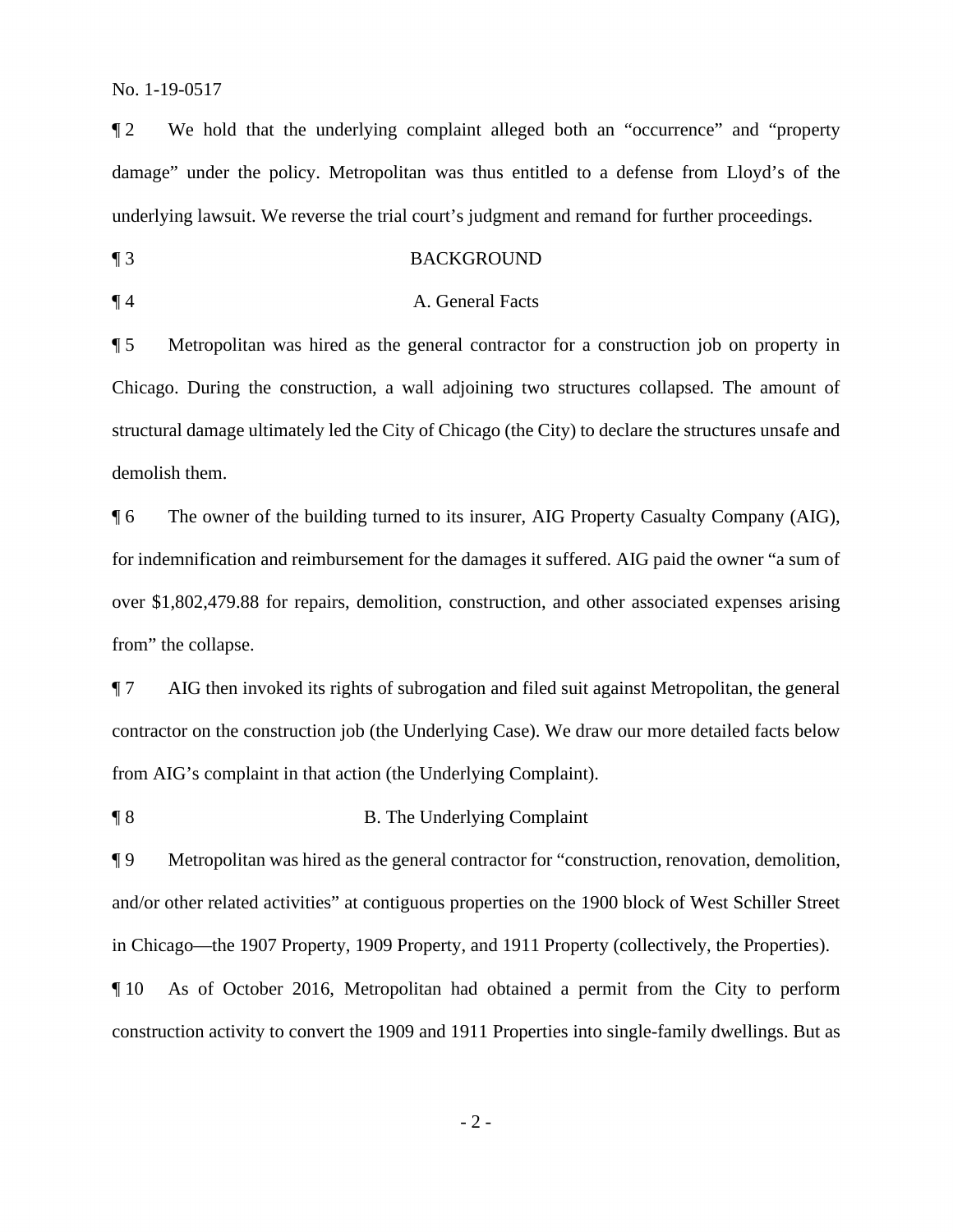¶ 2 We hold that the underlying complaint alleged both an "occurrence" and "property damage" under the policy. Metropolitan was thus entitled to a defense from Lloyd's of the underlying lawsuit. We reverse the trial court's judgment and remand for further proceedings.

¶ 3 BACKGROUND

### ¶ 4 A. General Facts

 ¶ 5 Metropolitan was hired as the general contractor for a construction job on property in Chicago. During the construction, a wall adjoining two structures collapsed. The amount of structural damage ultimately led the City of Chicago (the City) to declare the structures unsafe and demolish them.

¶ 6 The owner of the building turned to its insurer, AIG Property Casualty Company (AIG), for indemnification and reimbursement for the damages it suffered. AIG paid the owner "a sum of over \$[1,802,479.88](https://1,802,479.88) for repairs, demolition, construction, and other associated expenses arising from" the collapse.

**The Underlying Complaint in that action (the Underlying Complaint).**<br> **B. The Underlying Complaint** ¶ 7 AIG then invoked its rights of subrogation and filed suit against Metropolitan, the general contractor on the construction job (the Underlying Case). We draw our more detailed facts below

 ¶ 9 Metropolitan was hired as the general contractor for "construction, renovation, demolition, and/or other related activities" at contiguous properties on the 1900 block of West Schiller Street in Chicago—the 1907 Property, 1909 Property, and 1911 Property (collectively, the Properties).

¶ 10 As of October 2016, Metropolitan had obtained a permit from the City to perform construction activity to convert the 1909 and 1911 Properties into single-family dwellings. But as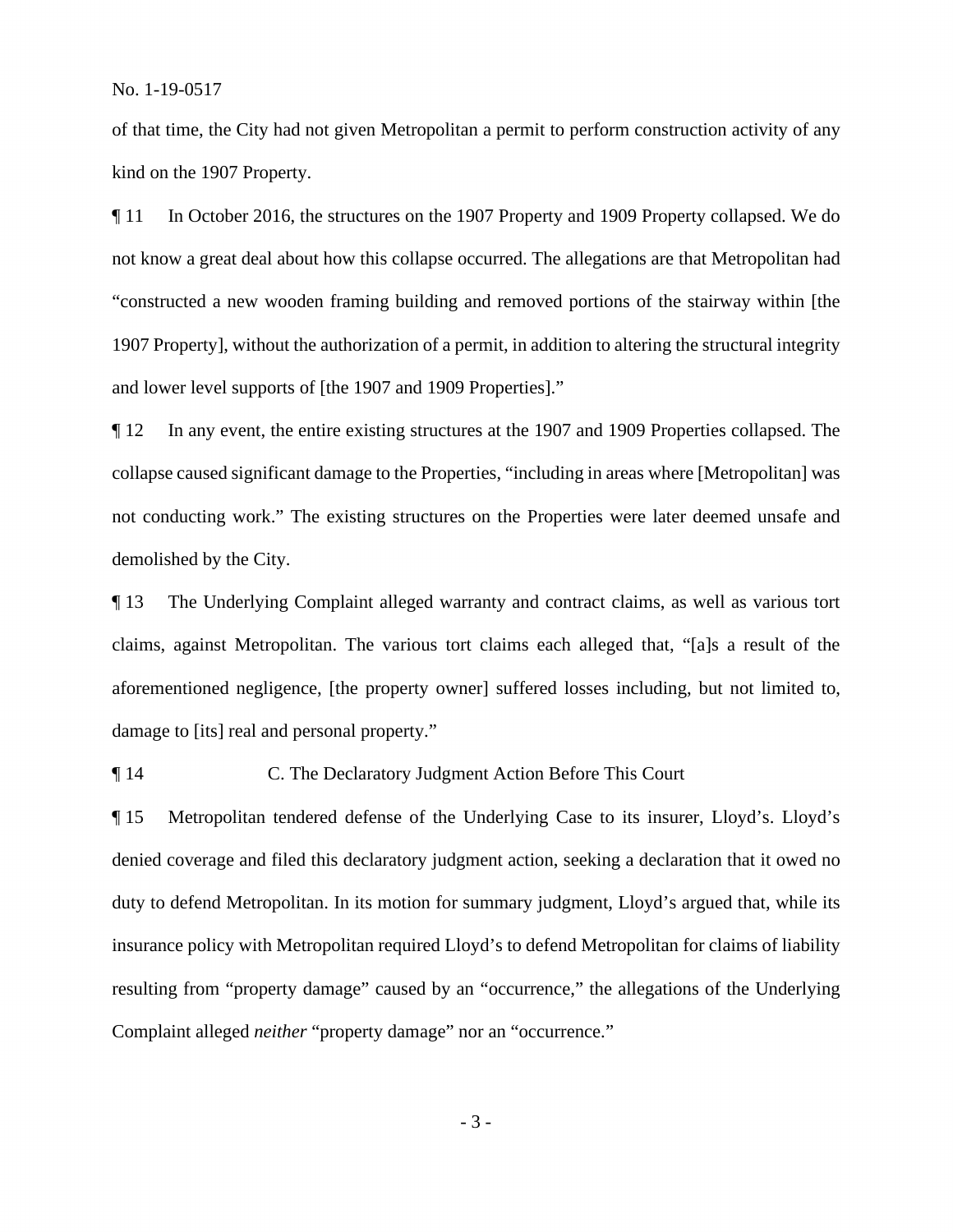of that time, the City had not given Metropolitan a permit to perform construction activity of any kind on the 1907 Property.

¶ 11 In October 2016, the structures on the 1907 Property and 1909 Property collapsed. We do not know a great deal about how this collapse occurred. The allegations are that Metropolitan had "constructed a new wooden framing building and removed portions of the stairway within [the 1907 Property], without the authorization of a permit, in addition to altering the structural integrity and lower level supports of [the 1907 and 1909 Properties]."

 not conducting work." The existing structures on the Properties were later deemed unsafe and demolished by the City. ¶ 12 In any event, the entire existing structures at the 1907 and 1909 Properties collapsed. The collapse caused significant damage to the Properties, "including in areas where [Metropolitan] was

 claims, against Metropolitan. The various tort claims each alleged that, "[a]s a result of the damage to [its] real and personal property." **The Underlying Complaint alleged warranty and contract claims, as well as various tort** aforementioned negligence, [the property owner] suffered losses including, but not limited to,

14 C. The Declaratory Judgment Action Before This Court

¶ 15 Metropolitan tendered defense of the Underlying Case to its insurer, Lloyd's. Lloyd's denied coverage and filed this declaratory judgment action, seeking a declaration that it owed no duty to defend Metropolitan. In its motion for summary judgment, Lloyd's argued that, while its insurance policy with Metropolitan required Lloyd's to defend Metropolitan for claims of liability resulting from "property damage" caused by an "occurrence," the allegations of the Underlying Complaint alleged *neither* "property damage" nor an "occurrence."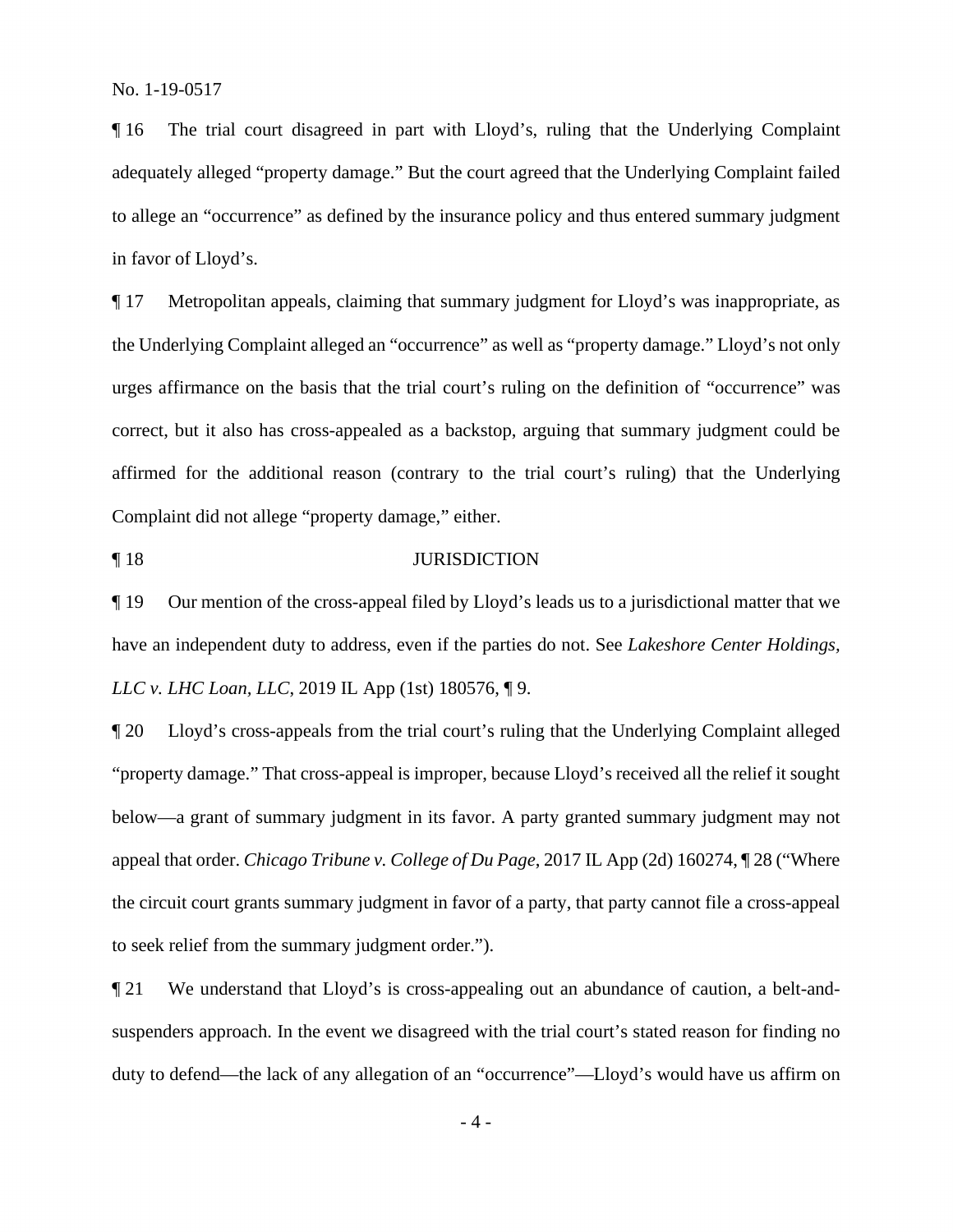¶ 16 The trial court disagreed in part with Lloyd's, ruling that the Underlying Complaint adequately alleged "property damage." But the court agreed that the Underlying Complaint failed to allege an "occurrence" as defined by the insurance policy and thus entered summary judgment in favor of Lloyd's.

¶ 17 Metropolitan appeals, claiming that summary judgment for Lloyd's was inappropriate, as the Underlying Complaint alleged an "occurrence" as well as "property damage." Lloyd's not only urges affirmance on the basis that the trial court's ruling on the definition of "occurrence" was correct, but it also has cross-appealed as a backstop, arguing that summary judgment could be affirmed for the additional reason (contrary to the trial court's ruling) that the Underlying Complaint did not allege "property damage," either.

¶ 18 JURISDICTION

¶ 19 Our mention of the cross-appeal filed by Lloyd's leads us to a jurisdictional matter that we have an independent duty to address, even if the parties do not. See *Lakeshore Center Holdings, LLC v. LHC Loan, LLC*, 2019 IL App (1st) 180576, ¶ 9.

¶ 20 Lloyd's cross-appeals from the trial court's ruling that the Underlying Complaint alleged "property damage." That cross-appeal is improper, because Lloyd's received all the relief it sought below—a grant of summary judgment in its favor. A party granted summary judgment may not appeal that order. *Chicago Tribune v. College of Du Page*, 2017 IL App (2d) 160274, ¶ 28 ("Where the circuit court grants summary judgment in favor of a party, that party cannot file a cross-appeal to seek relief from the summary judgment order.").

 suspenders approach. In the event we disagreed with the trial court's stated reason for finding no duty to defend—the lack of any allegation of an "occurrence"—Lloyd's would have us affirm on ¶ 21 We understand that Lloyd's is cross-appealing out an abundance of caution, a belt-and-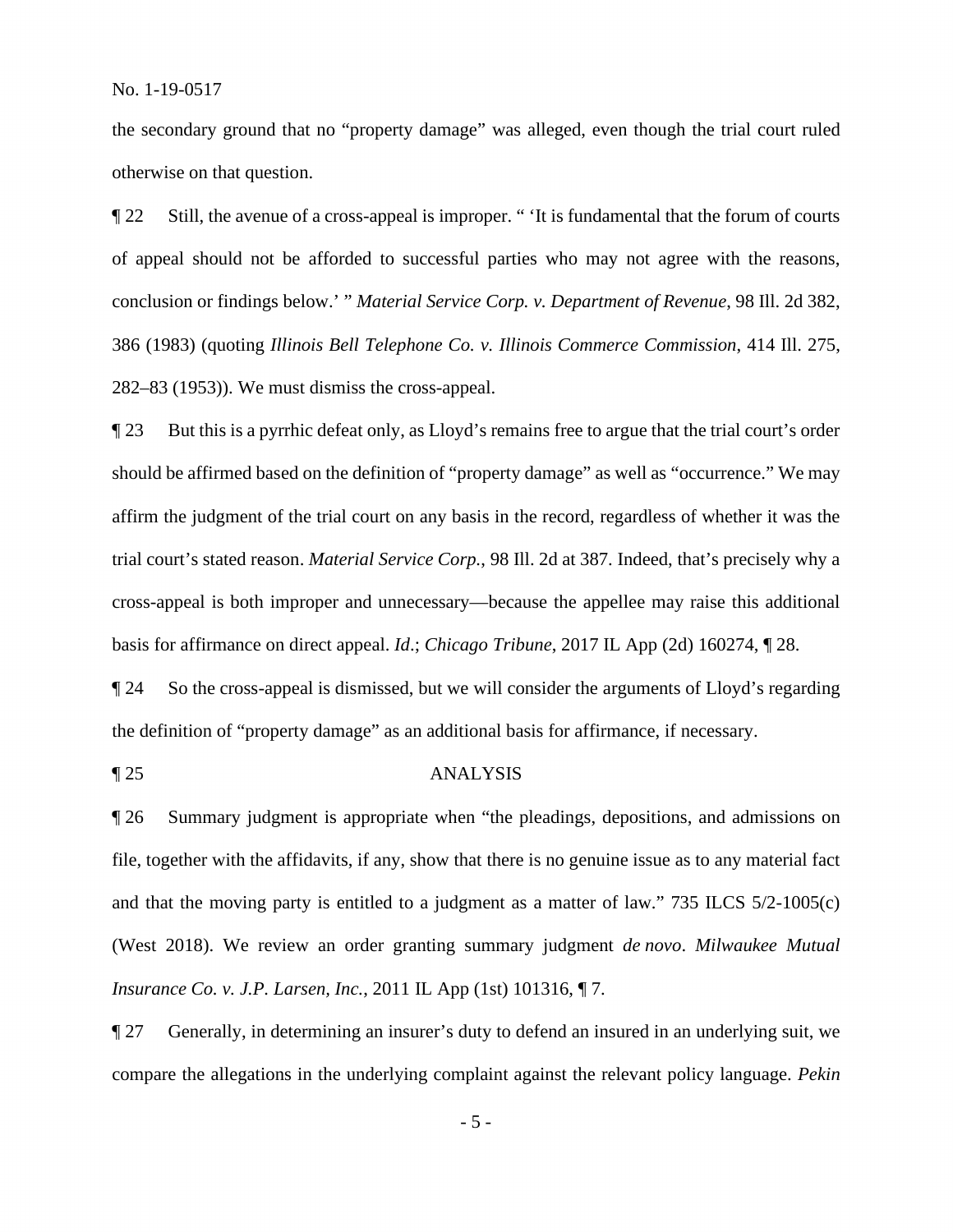the secondary ground that no "property damage" was alleged, even though the trial court ruled otherwise on that question.

¶ 22 Still, the avenue of a cross-appeal is improper. " 'It is fundamental that the forum of courts of appeal should not be afforded to successful parties who may not agree with the reasons, conclusion or findings below.' " *Material Service Corp. v. Department of Revenue*, 98 Ill. 2d 382, 386 (1983) (quoting *Illinois Bell Telephone Co. v. Illinois Commerce Commission*, 414 Ill. 275, 282–83 (1953)). We must dismiss the cross-appeal.

¶ 23 But this is a pyrrhic defeat only, as Lloyd's remains free to argue that the trial court's order should be affirmed based on the definition of "property damage" as well as "occurrence." We may affirm the judgment of the trial court on any basis in the record, regardless of whether it was the trial court's stated reason. *Material Service Corp.*, 98 Ill. 2d at 387. Indeed, that's precisely why a cross-appeal is both improper and unnecessary—because the appellee may raise this additional basis for affirmance on direct appeal. *Id*.; *Chicago Tribune*, 2017 IL App (2d) 160274, ¶ 28.

¶ 24 So the cross-appeal is dismissed, but we will consider the arguments of Lloyd's regarding the definition of "property damage" as an additional basis for affirmance, if necessary.

### ¶ 25 ANALYSIS

¶ 26 Summary judgment is appropriate when "the pleadings, depositions, and admissions on file, together with the affidavits, if any, show that there is no genuine issue as to any material fact and that the moving party is entitled to a judgment as a matter of law." 735 ILCS 5/2-1005(c) (West 2018). We review an order granting summary judgment *de novo*. *Milwaukee Mutual Insurance Co. v. J.P. Larsen, Inc.*, 2011 IL App (1st) 101316, ¶ 7.

¶ 27 Generally, in determining an insurer's duty to defend an insured in an underlying suit, we compare the allegations in the underlying complaint against the relevant policy language. *Pekin*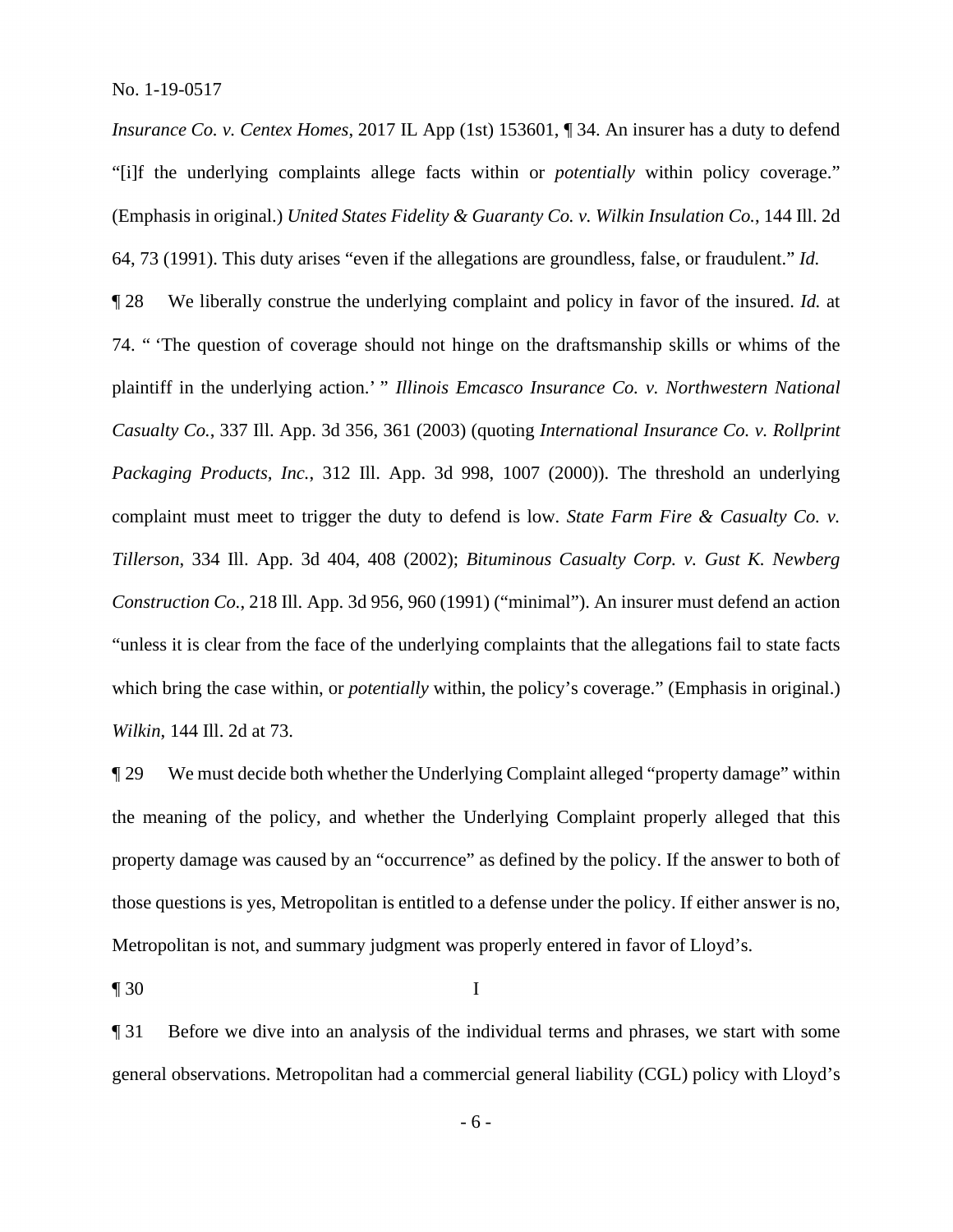*Insurance Co. v. Centex Homes, 2017 IL App (1st) 153601,* 134. An insurer has a duty to defend "[i]f the underlying complaints allege facts within or *potentially* within policy coverage." (Emphasis in original.) *United States Fidelity & Guaranty Co. v. Wilkin Insulation Co.*, 144 Ill. 2d 64, 73 (1991). This duty arises "even if the allegations are groundless, false, or fraudulent." *Id.* 

¶ 28 We liberally construe the underlying complaint and policy in favor of the insured. *Id.* at 74. " 'The question of coverage should not hinge on the draftsmanship skills or whims of the plaintiff in the underlying action.' " *Illinois Emcasco Insurance Co. v. Northwestern National Casualty Co.*, 337 Ill. App. 3d 356, 361 (2003) (quoting *International Insurance Co. v. Rollprint Packaging Products, Inc.*, 312 Ill. App. 3d 998, 1007 (2000)). The threshold an underlying complaint must meet to trigger the duty to defend is low. *State Farm Fire & Casualty Co. v. Tillerson*, 334 Ill. App. 3d 404, 408 (2002); *Bituminous Casualty Corp. v. Gust K. Newberg Construction Co.*, 218 Ill. App. 3d 956, 960 (1991) ("minimal"). An insurer must defend an action "unless it is clear from the face of the underlying complaints that the allegations fail to state facts which bring the case within, or *potentially* within, the policy's coverage." (Emphasis in original.) *Wilkin*, 144 Ill. 2d at 73.

¶ 29 We must decide both whether the Underlying Complaint alleged "property damage" within the meaning of the policy, and whether the Underlying Complaint properly alleged that this property damage was caused by an "occurrence" as defined by the policy. If the answer to both of those questions is yes, Metropolitan is entitled to a defense under the policy. If either answer is no, Metropolitan is not, and summary judgment was properly entered in favor of Lloyd's.

 $\blacksquare$  30 I

¶ 31 Before we dive into an analysis of the individual terms and phrases, we start with some general observations. Metropolitan had a commercial general liability (CGL) policy with Lloyd's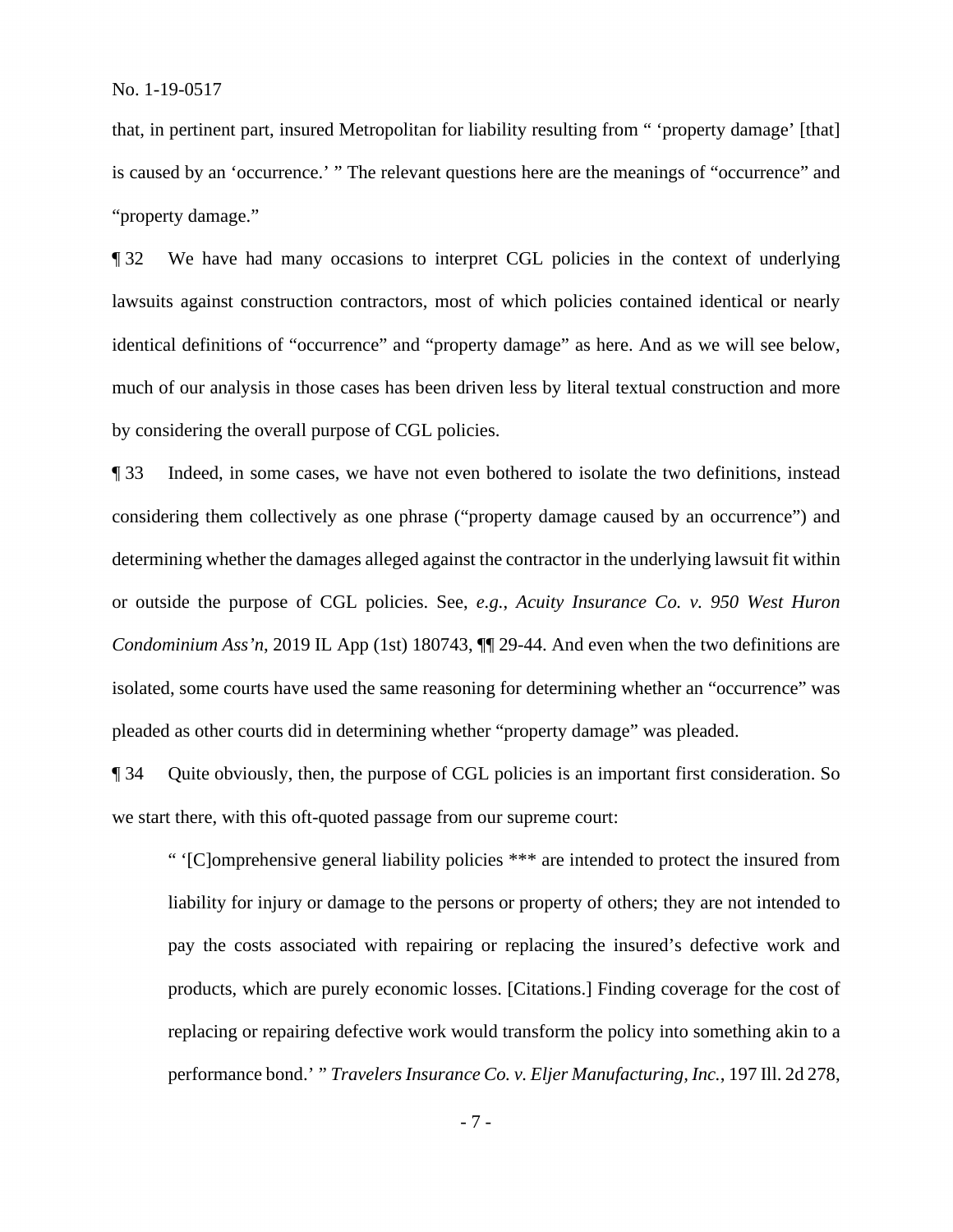that, in pertinent part, insured Metropolitan for liability resulting from " 'property damage' [that] is caused by an 'occurrence.' " The relevant questions here are the meanings of "occurrence" and "property damage."

 ¶ 32 We have had many occasions to interpret CGL policies in the context of underlying lawsuits against construction contractors, most of which policies contained identical or nearly identical definitions of "occurrence" and "property damage" as here. And as we will see below, much of our analysis in those cases has been driven less by literal textual construction and more by considering the overall purpose of CGL policies.

¶ 33 Indeed, in some cases, we have not even bothered to isolate the two definitions, instead considering them collectively as one phrase ("property damage caused by an occurrence") and determining whether the damages alleged against the contractor in the underlying lawsuit fit within or outside the purpose of CGL policies. See, *e.g.*, *Acuity Insurance Co. v. 950 West Huron Condominium Ass'n*, 2019 IL App (1st) 180743, ¶¶ 29-44. And even when the two definitions are isolated, some courts have used the same reasoning for determining whether an "occurrence" was pleaded as other courts did in determining whether "property damage" was pleaded.

¶ 34 Quite obviously, then, the purpose of CGL policies is an important first consideration. So we start there, with this oft-quoted passage from our supreme court:

" '[C]omprehensive general liability policies \*\*\* are intended to protect the insured from liability for injury or damage to the persons or property of others; they are not intended to pay the costs associated with repairing or replacing the insured's defective work and products, which are purely economic losses. [Citations.] Finding coverage for the cost of replacing or repairing defective work would transform the policy into something akin to a performance bond.' " *Travelers Insurance Co. v. Eljer Manufacturing, Inc.*, 197 Ill. 2d 278,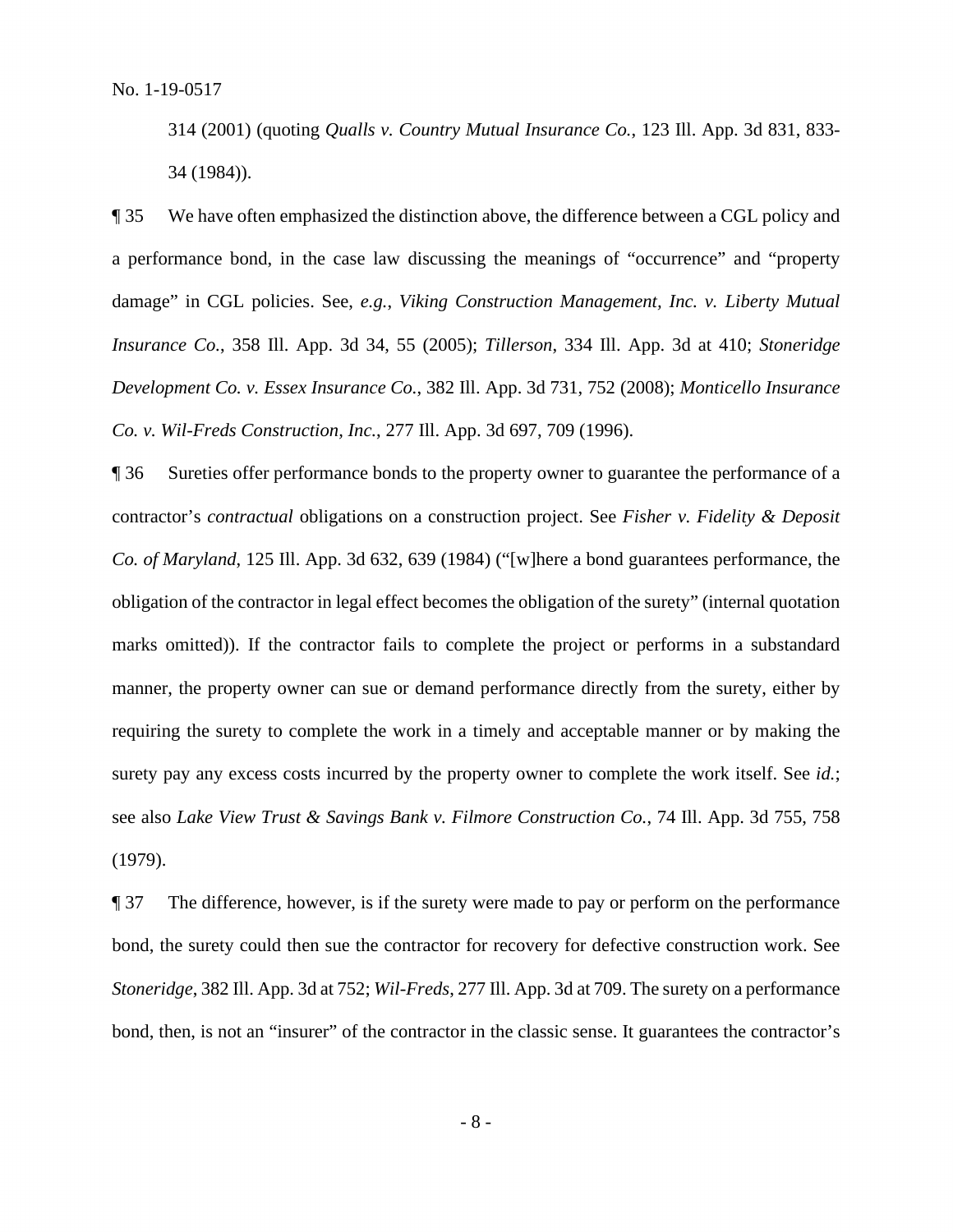314 (2001) (quoting *Qualls v. Country Mutual Insurance Co.*, 123 Ill. App. 3d 831, 833- 34 (1984)).

¶ 35 We have often emphasized the distinction above, the difference between a CGL policy and a performance bond, in the case law discussing the meanings of "occurrence" and "property damage" in CGL policies. See, *e.g.*, *Viking Construction Management, Inc. v. Liberty Mutual Insurance Co.*, 358 Ill. App. 3d 34, 55 (2005); *Tillerson*, 334 Ill. App. 3d at 410; *Stoneridge Development Co. v. Essex Insurance Co.*, 382 Ill. App. 3d 731, 752 (2008); *Monticello Insurance Co. v. Wil-Freds Construction, Inc.*, 277 Ill. App. 3d 697, 709 (1996).

 ¶ 36 Sureties offer performance bonds to the property owner to guarantee the performance of a contractor's *contractual* obligations on a construction project. See *Fisher v. Fidelity & Deposit*  manner, the property owner can sue or demand performance directly from the surety, either by surety pay any excess costs incurred by the property owner to complete the work itself. See *id.*; *Co. of Maryland*, 125 Ill. App. 3d 632, 639 (1984) ("[w]here a bond guarantees performance, the obligation of the contractor in legal effect becomes the obligation of the surety" (internal quotation marks omitted)). If the contractor fails to complete the project or performs in a substandard requiring the surety to complete the work in a timely and acceptable manner or by making the see also *Lake View Trust & Savings Bank v. Filmore Construction Co.*, 74 Ill. App. 3d 755, 758 (1979).

 ¶ 37 The difference, however, is if the surety were made to pay or perform on the performance *Stoneridge*, 382 Ill. App. 3d at 752; *Wil-Freds*, 277 Ill. App. 3d at 709. The surety on a performance bond, the surety could then sue the contractor for recovery for defective construction work. See bond, then, is not an "insurer" of the contractor in the classic sense. It guarantees the contractor's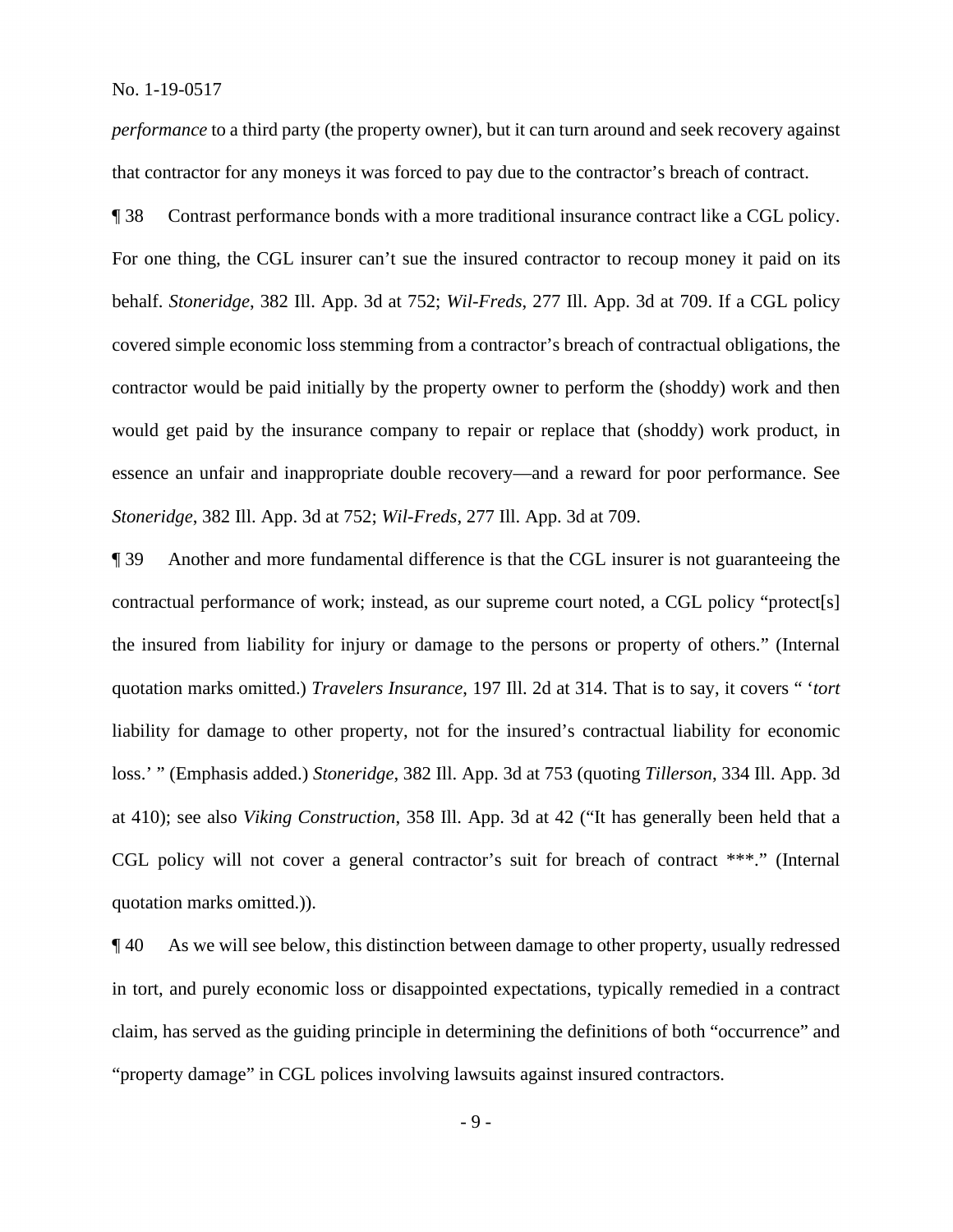*performance* to a third party (the property owner), but it can turn around and seek recovery against that contractor for any moneys it was forced to pay due to the contractor's breach of contract.

 For one thing, the CGL insurer can't sue the insured contractor to recoup money it paid on its ¶ 38 Contrast performance bonds with a more traditional insurance contract like a CGL policy. behalf. *Stoneridge*, 382 Ill. App. 3d at 752; *Wil-Freds*, 277 Ill. App. 3d at 709. If a CGL policy covered simple economic loss stemming from a contractor's breach of contractual obligations, the contractor would be paid initially by the property owner to perform the (shoddy) work and then would get paid by the insurance company to repair or replace that (shoddy) work product, in essence an unfair and inappropriate double recovery—and a reward for poor performance. See *Stoneridge*, 382 Ill. App. 3d at 752; *Wil-Freds*, 277 Ill. App. 3d at 709.

 contractual performance of work; instead, as our supreme court noted, a CGL policy "protect[s] ¶ 39 Another and more fundamental difference is that the CGL insurer is not guaranteeing the the insured from liability for injury or damage to the persons or property of others." (Internal quotation marks omitted.) *Travelers Insurance*, 197 Ill. 2d at 314. That is to say, it covers " '*tort*  liability for damage to other property, not for the insured's contractual liability for economic loss.' " (Emphasis added.) *Stoneridge*, 382 Ill. App. 3d at 753 (quoting *Tillerson*, 334 Ill. App. 3d at 410); see also *Viking Construction*, 358 Ill. App. 3d at 42 ("It has generally been held that a CGL policy will not cover a general contractor's suit for breach of contract \*\*\*." (Internal quotation marks omitted.)).

¶ 40 As we will see below, this distinction between damage to other property, usually redressed in tort, and purely economic loss or disappointed expectations, typically remedied in a contract claim, has served as the guiding principle in determining the definitions of both "occurrence" and "property damage" in CGL polices involving lawsuits against insured contractors.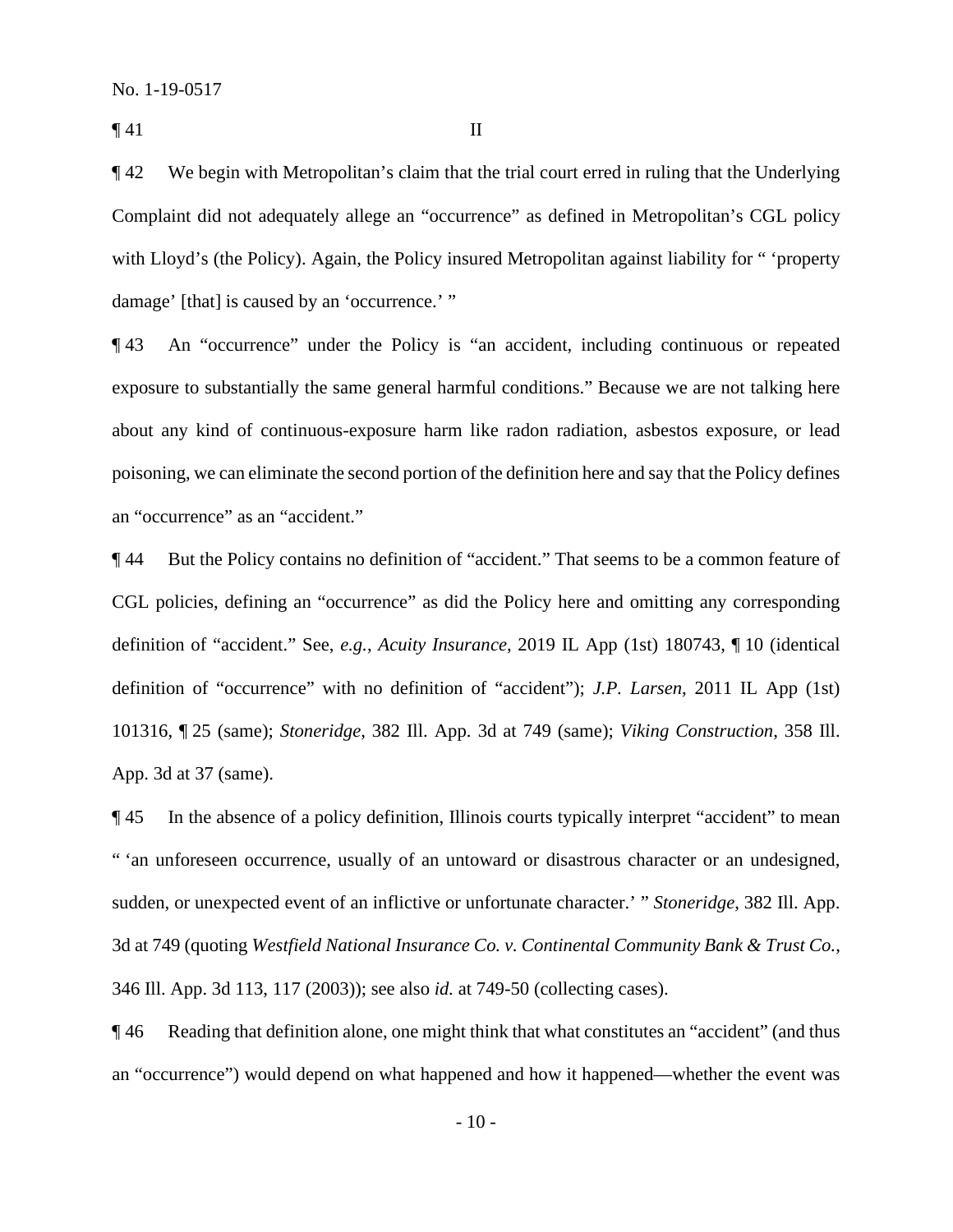$\P$  41 II

 ¶ 42 We begin with Metropolitan's claim that the trial court erred in ruling that the Underlying Complaint did not adequately allege an "occurrence" as defined in Metropolitan's CGL policy with Lloyd's (the Policy). Again, the Policy insured Metropolitan against liability for " 'property damage' [that] is caused by an 'occurrence.' "

¶ 43 An "occurrence" under the Policy is "an accident, including continuous or repeated exposure to substantially the same general harmful conditions." Because we are not talking here about any kind of continuous-exposure harm like radon radiation, asbestos exposure, or lead poisoning, we can eliminate the second portion of the definition here and say that the Policy defines an "occurrence" as an "accident."

 definition of "occurrence" with no definition of "accident"); *J.P. Larsen*, 2011 IL App (1st) 101316, ¶ 25 (same); *Stoneridge*, 382 Ill. App. 3d at 749 (same); *Viking Construction*, 358 Ill. ¶ 44 But the Policy contains no definition of "accident." That seems to be a common feature of CGL policies, defining an "occurrence" as did the Policy here and omitting any corresponding definition of "accident." See, *e.g.*, *Acuity Insurance*, 2019 IL App (1st) 180743, ¶ 10 (identical App. 3d at 37 (same).

 ¶ 45 In the absence of a policy definition, Illinois courts typically interpret "accident" to mean sudden, or unexpected event of an inflictive or unfortunate character.' " *Stoneridge*, 382 Ill. App. " 'an unforeseen occurrence, usually of an untoward or disastrous character or an undesigned, 3d at 749 (quoting *Westfield National Insurance Co. v. Continental Community Bank & Trust Co.*, 346 Ill. App. 3d 113, 117 (2003)); see also *id.* at 749-50 (collecting cases).

¶ 46 Reading that definition alone, one might think that what constitutes an "accident" (and thus an "occurrence") would depend on what happened and how it happened—whether the event was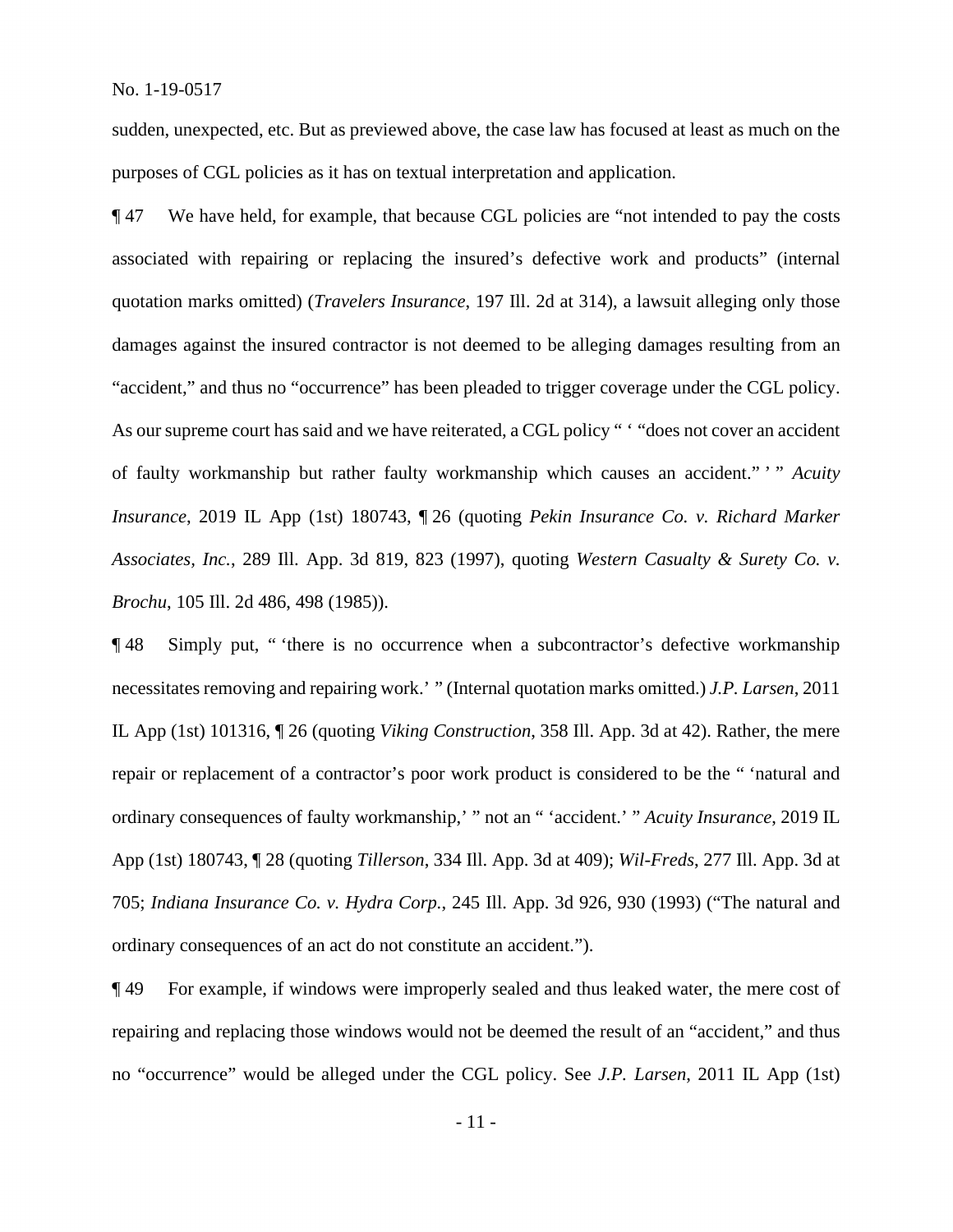sudden, unexpected, etc. But as previewed above, the case law has focused at least as much on the purposes of CGL policies as it has on textual interpretation and application.

 of faulty workmanship but rather faulty workmanship which causes an accident." ' " *Acuity*  ¶ 47 We have held, for example, that because CGL policies are "not intended to pay the costs associated with repairing or replacing the insured's defective work and products" (internal quotation marks omitted) (*Travelers Insurance*, 197 Ill. 2d at 314), a lawsuit alleging only those damages against the insured contractor is not deemed to be alleging damages resulting from an "accident," and thus no "occurrence" has been pleaded to trigger coverage under the CGL policy. As our supreme court has said and we have reiterated, a CGL policy " 'does not cover an accident *Insurance*, 2019 IL App (1st) 180743, ¶ 26 (quoting *Pekin Insurance Co. v. Richard Marker Associates, Inc.*, 289 Ill. App. 3d 819, 823 (1997), quoting *Western Casualty & Surety Co. v. Brochu*, 105 Ill. 2d 486, 498 (1985)).

 necessitates removing and repairing work.' " (Internal quotation marks omitted.) *J.P. Larsen*, 2011 ¶ 48 Simply put, " 'there is no occurrence when a subcontractor's defective workmanship IL App (1st) 101316, ¶ 26 (quoting *Viking Construction*, 358 Ill. App. 3d at 42). Rather, the mere repair or replacement of a contractor's poor work product is considered to be the " 'natural and ordinary consequences of faulty workmanship,' " not an " 'accident.' " *Acuity Insurance*, 2019 IL App (1st) 180743, ¶ 28 (quoting *Tillerson*, 334 Ill. App. 3d at 409); *Wil-Freds*, 277 Ill. App. 3d at 705; *Indiana Insurance Co. v. Hydra Corp.*, 245 Ill. App. 3d 926, 930 (1993) ("The natural and ordinary consequences of an act do not constitute an accident.").

¶ 49 For example, if windows were improperly sealed and thus leaked water, the mere cost of repairing and replacing those windows would not be deemed the result of an "accident," and thus no "occurrence" would be alleged under the CGL policy. See *J.P. Larsen*, 2011 IL App (1st)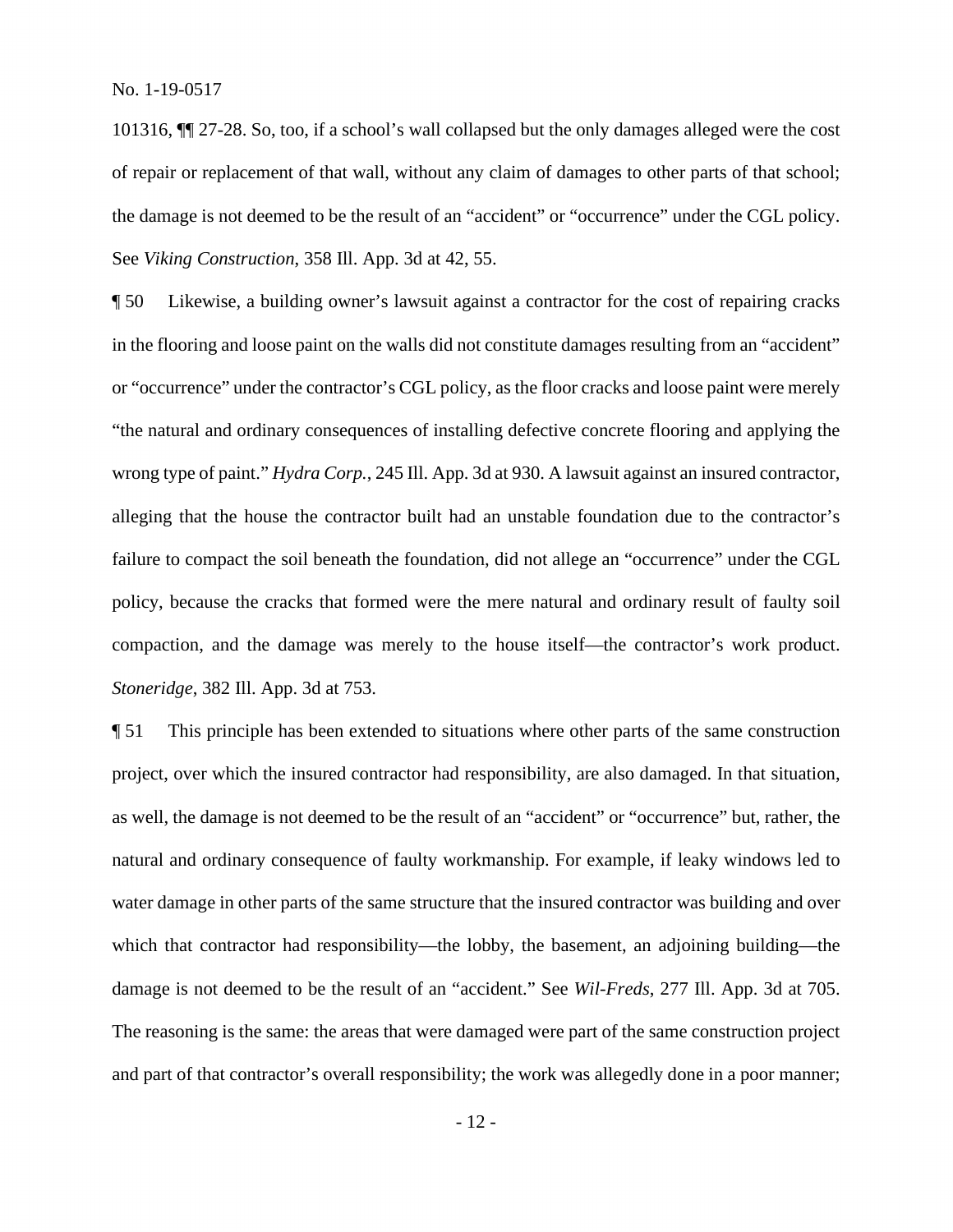101316, ¶¶ 27-28. So, too, if a school's wall collapsed but the only damages alleged were the cost of repair or replacement of that wall, without any claim of damages to other parts of that school; the damage is not deemed to be the result of an "accident" or "occurrence" under the CGL policy. See *Viking Construction*, 358 Ill. App. 3d at 42, 55.

¶ 50 Likewise, a building owner's lawsuit against a contractor for the cost of repairing cracks in the flooring and loose paint on the walls did not constitute damages resulting from an "accident" or "occurrence" under the contractor's CGL policy, as the floor cracks and loose paint were merely "the natural and ordinary consequences of installing defective concrete flooring and applying the wrong type of paint." *Hydra Corp.*, 245 Ill. App. 3d at 930. A lawsuit against an insured contractor, alleging that the house the contractor built had an unstable foundation due to the contractor's failure to compact the soil beneath the foundation, did not allege an "occurrence" under the CGL policy, because the cracks that formed were the mere natural and ordinary result of faulty soil compaction, and the damage was merely to the house itself—the contractor's work product. *Stoneridge*, 382 Ill. App. 3d at 753.

¶ 51 This principle has been extended to situations where other parts of the same construction project, over which the insured contractor had responsibility, are also damaged. In that situation, as well, the damage is not deemed to be the result of an "accident" or "occurrence" but, rather, the natural and ordinary consequence of faulty workmanship. For example, if leaky windows led to water damage in other parts of the same structure that the insured contractor was building and over which that contractor had responsibility—the lobby, the basement, an adjoining building—the damage is not deemed to be the result of an "accident." See *Wil-Freds*, 277 Ill. App. 3d at 705. The reasoning is the same: the areas that were damaged were part of the same construction project and part of that contractor's overall responsibility; the work was allegedly done in a poor manner;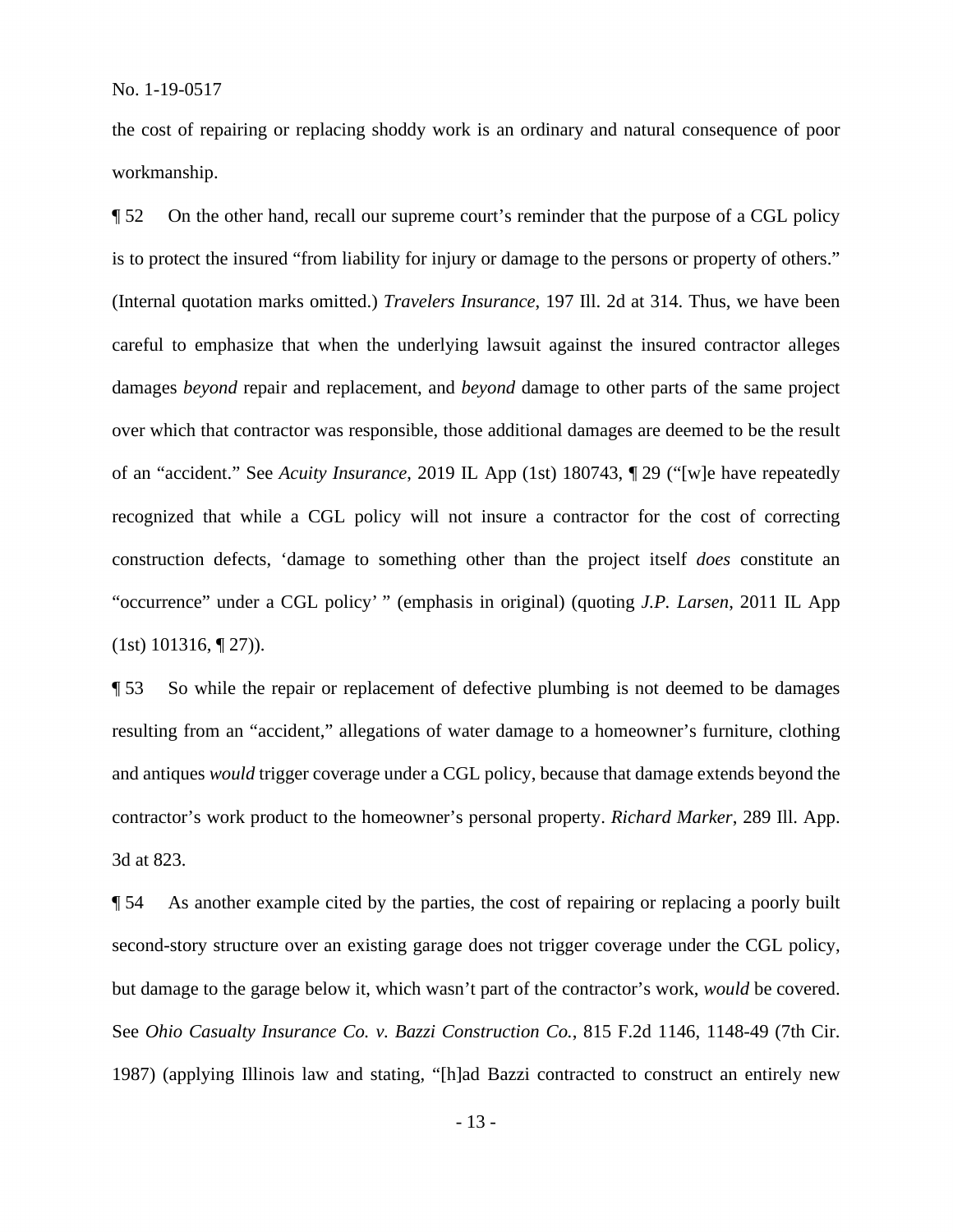the cost of repairing or replacing shoddy work is an ordinary and natural consequence of poor workmanship.

 careful to emphasize that when the underlying lawsuit against the insured contractor alleges damages *beyond* repair and replacement, and *beyond* damage to other parts of the same project construction defects, 'damage to something other than the project itself *does* constitute an ¶ 52 On the other hand, recall our supreme court's reminder that the purpose of a CGL policy is to protect the insured "from liability for injury or damage to the persons or property of others." (Internal quotation marks omitted.) *Travelers Insurance*, 197 Ill. 2d at 314. Thus, we have been over which that contractor was responsible, those additional damages are deemed to be the result of an "accident." See *Acuity Insurance*, 2019 IL App (1st) 180743, ¶ 29 ("[w]e have repeatedly recognized that while a CGL policy will not insure a contractor for the cost of correcting "occurrence" under a CGL policy' " (emphasis in original) (quoting *J.P. Larsen*, 2011 IL App  $(1st)$  101316,  $\P$  27)).

¶ 53 So while the repair or replacement of defective plumbing is not deemed to be damages resulting from an "accident," allegations of water damage to a homeowner's furniture, clothing and antiques *would* trigger coverage under a CGL policy, because that damage extends beyond the contractor's work product to the homeowner's personal property. *Richard Marker*, 289 Ill. App. 3d at 823.

 but damage to the garage below it, which wasn't part of the contractor's work, *would* be covered. 1987) (applying Illinois law and stating, "[h]ad Bazzi contracted to construct an entirely new ¶ 54 As another example cited by the parties, the cost of repairing or replacing a poorly built second-story structure over an existing garage does not trigger coverage under the CGL policy, See *Ohio Casualty Insurance Co. v. Bazzi Construction Co.*, 815 F.2d 1146, 1148-49 (7th Cir.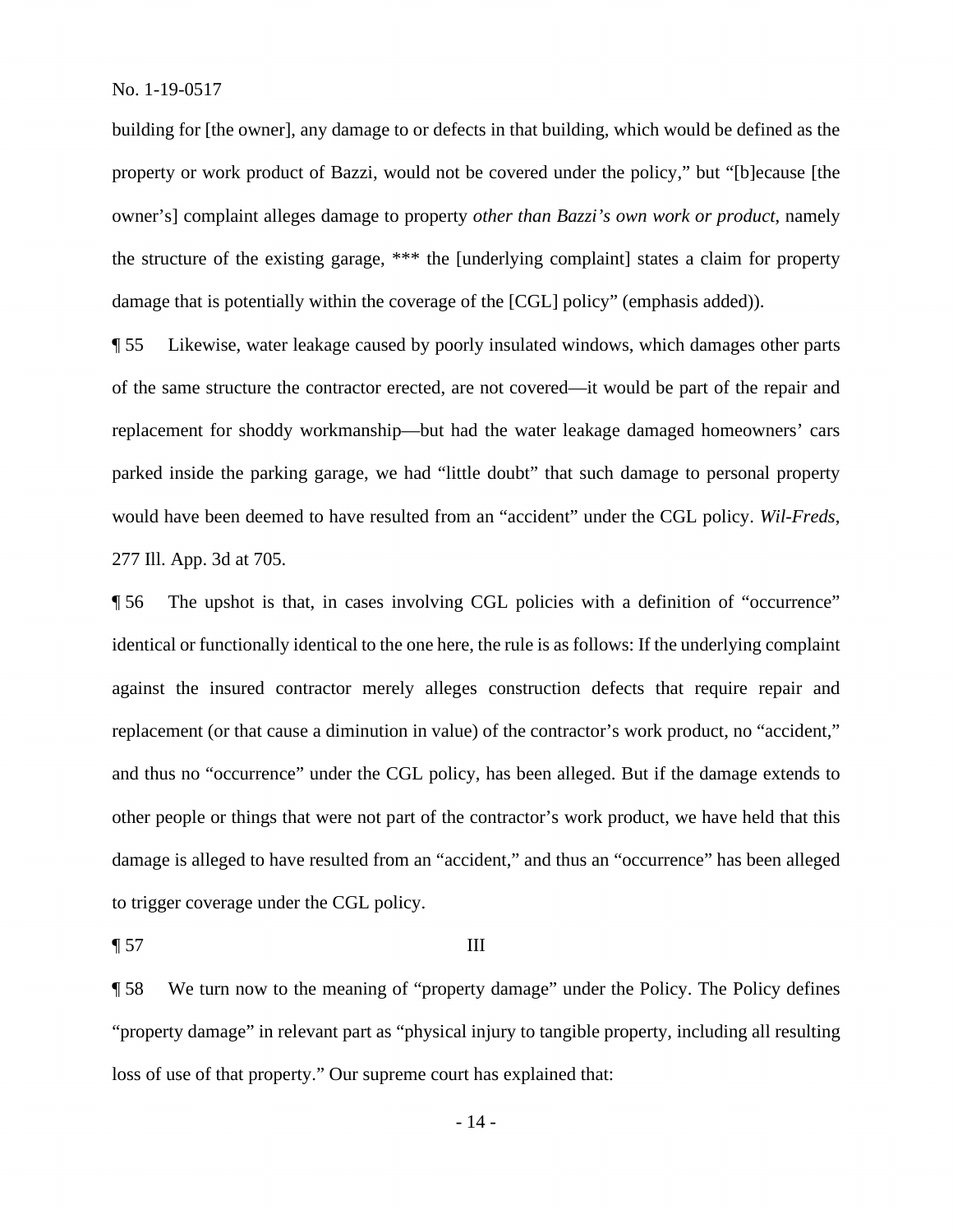building for [the owner], any damage to or defects in that building, which would be defined as the property or work product of Bazzi, would not be covered under the policy," but "[b]ecause [the owner's] complaint alleges damage to property *other than Bazzi's own work or product*, namely the structure of the existing garage, \*\*\* the [underlying complaint] states a claim for property damage that is potentially within the coverage of the [CGL] policy" (emphasis added)).

¶ 55 Likewise, water leakage caused by poorly insulated windows, which damages other parts of the same structure the contractor erected, are not covered—it would be part of the repair and replacement for shoddy workmanship—but had the water leakage damaged homeowners' cars parked inside the parking garage, we had "little doubt" that such damage to personal property would have been deemed to have resulted from an "accident" under the CGL policy. *Wil-Freds*, 277 Ill. App. 3d at 705.

 identical or functionally identical to the one here, the rule is as follows: If the underlying complaint to trigger coverage under the CGL policy.<br>
¶ 57 III ¶ 56 The upshot is that, in cases involving CGL policies with a definition of "occurrence" against the insured contractor merely alleges construction defects that require repair and replacement (or that cause a diminution in value) of the contractor's work product, no "accident," and thus no "occurrence" under the CGL policy, has been alleged. But if the damage extends to other people or things that were not part of the contractor's work product, we have held that this damage is alleged to have resulted from an "accident," and thus an "occurrence" has been alleged

¶ 58 We turn now to the meaning of "property damage" under the Policy. The Policy defines "property damage" in relevant part as "physical injury to tangible property, including all resulting loss of use of that property." Our supreme court has explained that: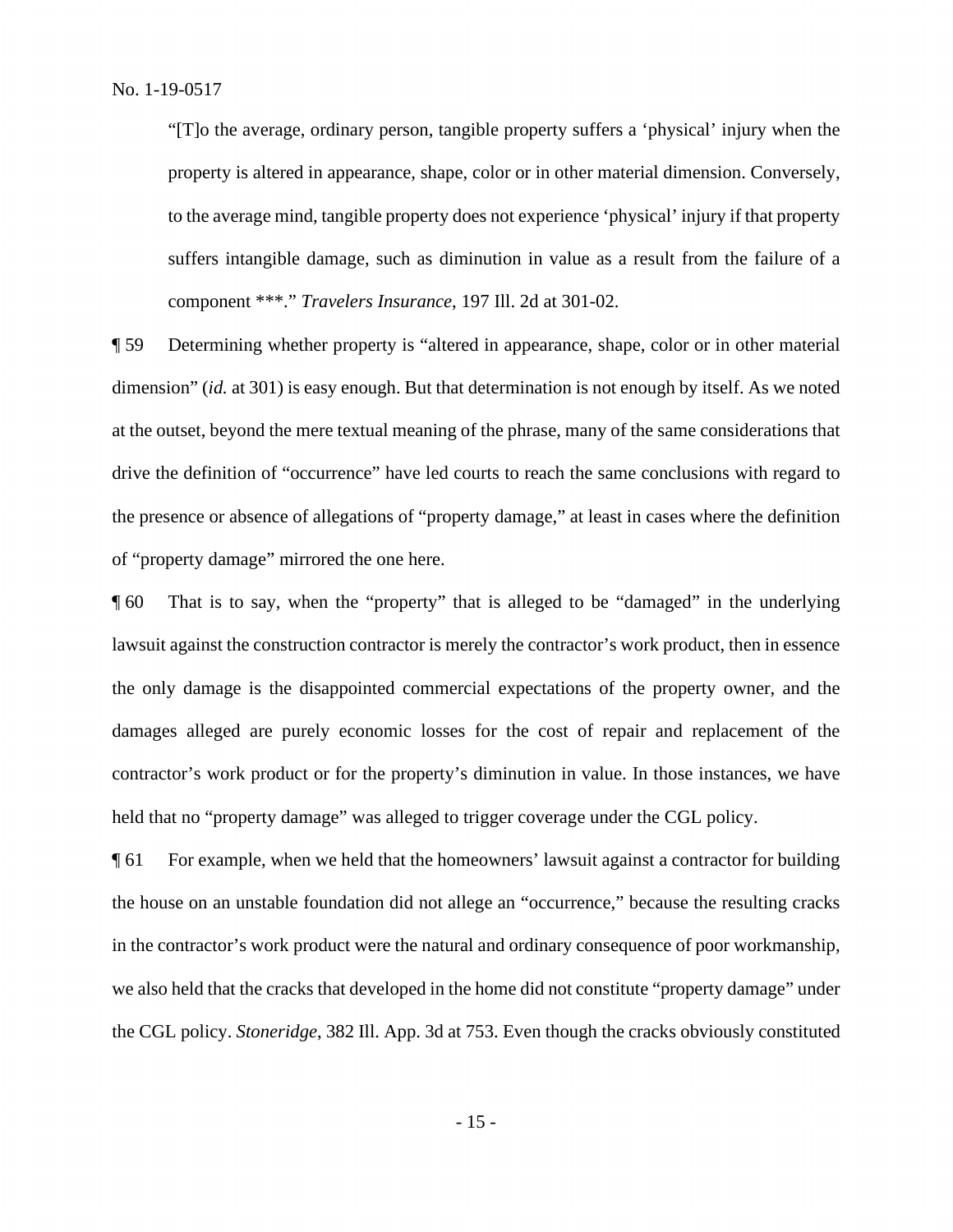"[T]o the average, ordinary person, tangible property suffers a 'physical' injury when the property is altered in appearance, shape, color or in other material dimension. Conversely, to the average mind, tangible property does not experience 'physical' injury if that property suffers intangible damage, such as diminution in value as a result from the failure of a component \*\*\*." *Travelers Insurance*, 197 Ill. 2d at 301-02.

 dimension" (*id.* at 301) is easy enough. But that determination is not enough by itself. As we noted ¶ 59 Determining whether property is "altered in appearance, shape, color or in other material at the outset, beyond the mere textual meaning of the phrase, many of the same considerations that drive the definition of "occurrence" have led courts to reach the same conclusions with regard to the presence or absence of allegations of "property damage," at least in cases where the definition of "property damage" mirrored the one here.

 lawsuit against the construction contractor is merely the contractor's work product, then in essence ¶ 60 That is to say, when the "property" that is alleged to be "damaged" in the underlying the only damage is the disappointed commercial expectations of the property owner, and the damages alleged are purely economic losses for the cost of repair and replacement of the contractor's work product or for the property's diminution in value. In those instances, we have held that no "property damage" was alleged to trigger coverage under the CGL policy.

¶ 61 For example, when we held that the homeowners' lawsuit against a contractor for building the house on an unstable foundation did not allege an "occurrence," because the resulting cracks in the contractor's work product were the natural and ordinary consequence of poor workmanship, we also held that the cracks that developed in the home did not constitute "property damage" under the CGL policy. *Stoneridge*, 382 Ill. App. 3d at 753. Even though the cracks obviously constituted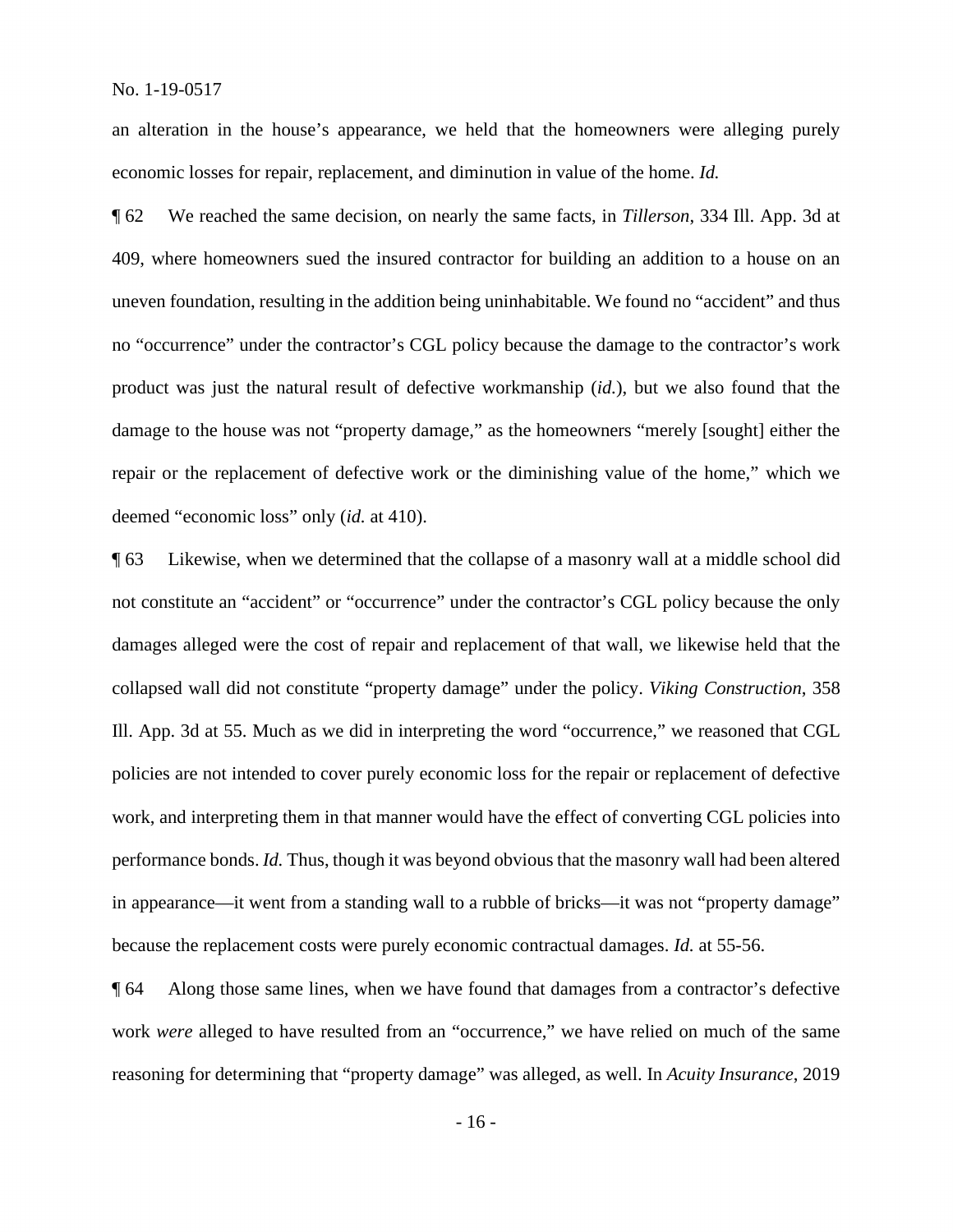an alteration in the house's appearance, we held that the homeowners were alleging purely economic losses for repair, replacement, and diminution in value of the home. *Id.* 

 409, where homeowners sued the insured contractor for building an addition to a house on an repair or the replacement of defective work or the diminishing value of the home," which we deemed "economic loss" only (*id.* at 410). ¶ 62 We reached the same decision, on nearly the same facts, in *Tillerson*, 334 Ill. App. 3d at uneven foundation, resulting in the addition being uninhabitable. We found no "accident" and thus no "occurrence" under the contractor's CGL policy because the damage to the contractor's work product was just the natural result of defective workmanship (*id.*), but we also found that the damage to the house was not "property damage," as the homeowners "merely [sought] either the

 performance bonds. *Id.* Thus, though it was beyond obvious that the masonry wall had been altered because the replacement costs were purely economic contractual damages. *Id.* at 55-56. ¶ 63 Likewise, when we determined that the collapse of a masonry wall at a middle school did not constitute an "accident" or "occurrence" under the contractor's CGL policy because the only damages alleged were the cost of repair and replacement of that wall, we likewise held that the collapsed wall did not constitute "property damage" under the policy. *Viking Construction*, 358 Ill. App. 3d at 55. Much as we did in interpreting the word "occurrence," we reasoned that CGL policies are not intended to cover purely economic loss for the repair or replacement of defective work, and interpreting them in that manner would have the effect of converting CGL policies into in appearance—it went from a standing wall to a rubble of bricks—it was not "property damage"

¶ 64 Along those same lines, when we have found that damages from a contractor's defective work *were* alleged to have resulted from an "occurrence," we have relied on much of the same reasoning for determining that "property damage" was alleged, as well. In *Acuity Insurance*, 2019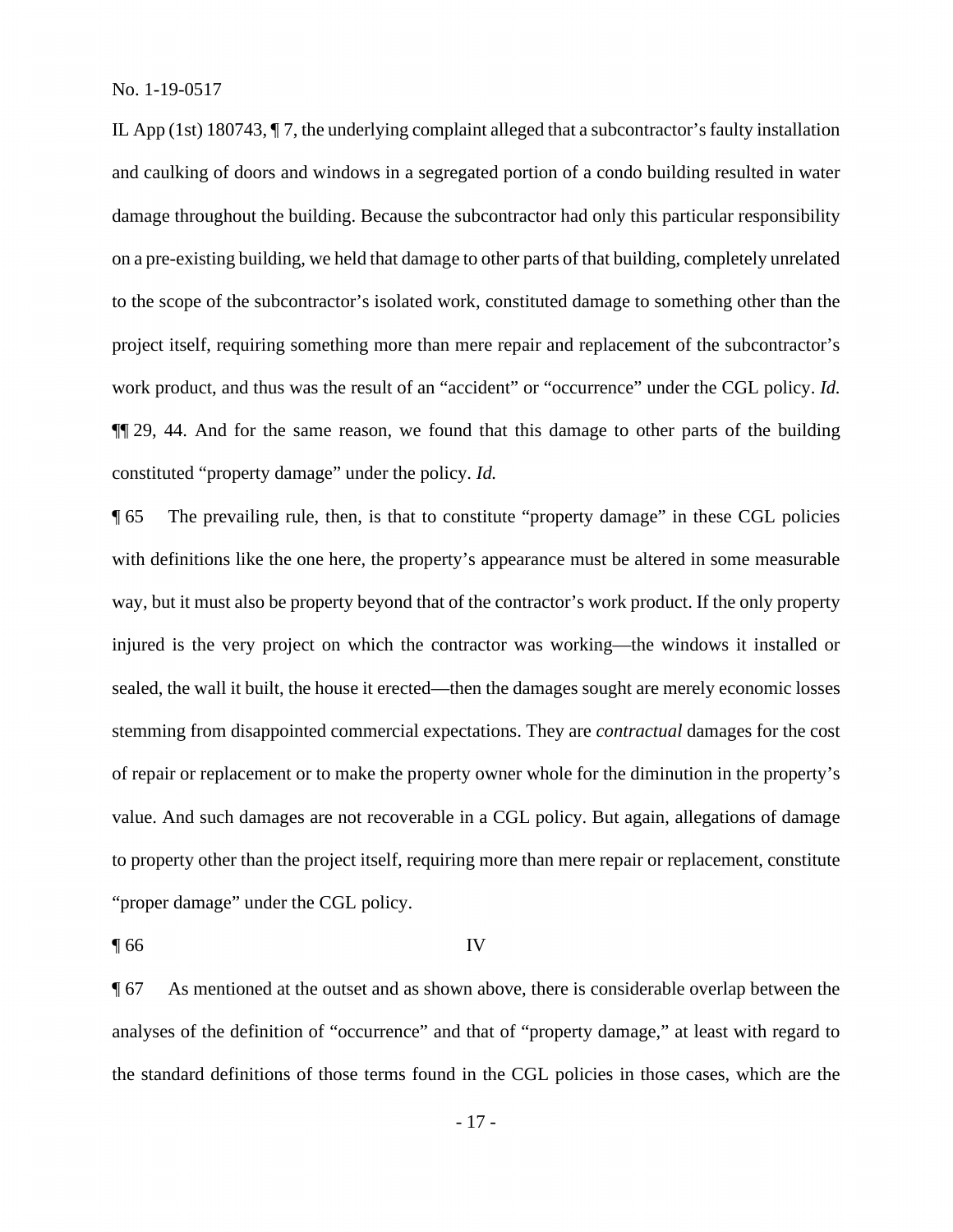work product, and thus was the result of an "accident" or "occurrence" under the CGL policy. *Id.*  IL App (1st) 180743, ¶ 7, the underlying complaint alleged that a subcontractor's faulty installation and caulking of doors and windows in a segregated portion of a condo building resulted in water damage throughout the building. Because the subcontractor had only this particular responsibility on a pre-existing building, we held that damage to other parts of that building, completely unrelated to the scope of the subcontractor's isolated work, constituted damage to something other than the project itself, requiring something more than mere repair and replacement of the subcontractor's ¶¶ 29, 44. And for the same reason, we found that this damage to other parts of the building constituted "property damage" under the policy. *Id.* 

¶ 65 The prevailing rule, then, is that to constitute "property damage" in these CGL policies with definitions like the one here, the property's appearance must be altered in some measurable way, but it must also be property beyond that of the contractor's work product. If the only property injured is the very project on which the contractor was working—the windows it installed or sealed, the wall it built, the house it erected—then the damages sought are merely economic losses stemming from disappointed commercial expectations. They are *contractual* damages for the cost of repair or replacement or to make the property owner whole for the diminution in the property's value. And such damages are not recoverable in a CGL policy. But again, allegations of damage to property other than the project itself, requiring more than mere repair or replacement, constitute "proper damage" under the CGL policy.

 $\blacksquare$  66 IV

¶ 67 As mentioned at the outset and as shown above, there is considerable overlap between the analyses of the definition of "occurrence" and that of "property damage," at least with regard to the standard definitions of those terms found in the CGL policies in those cases, which are the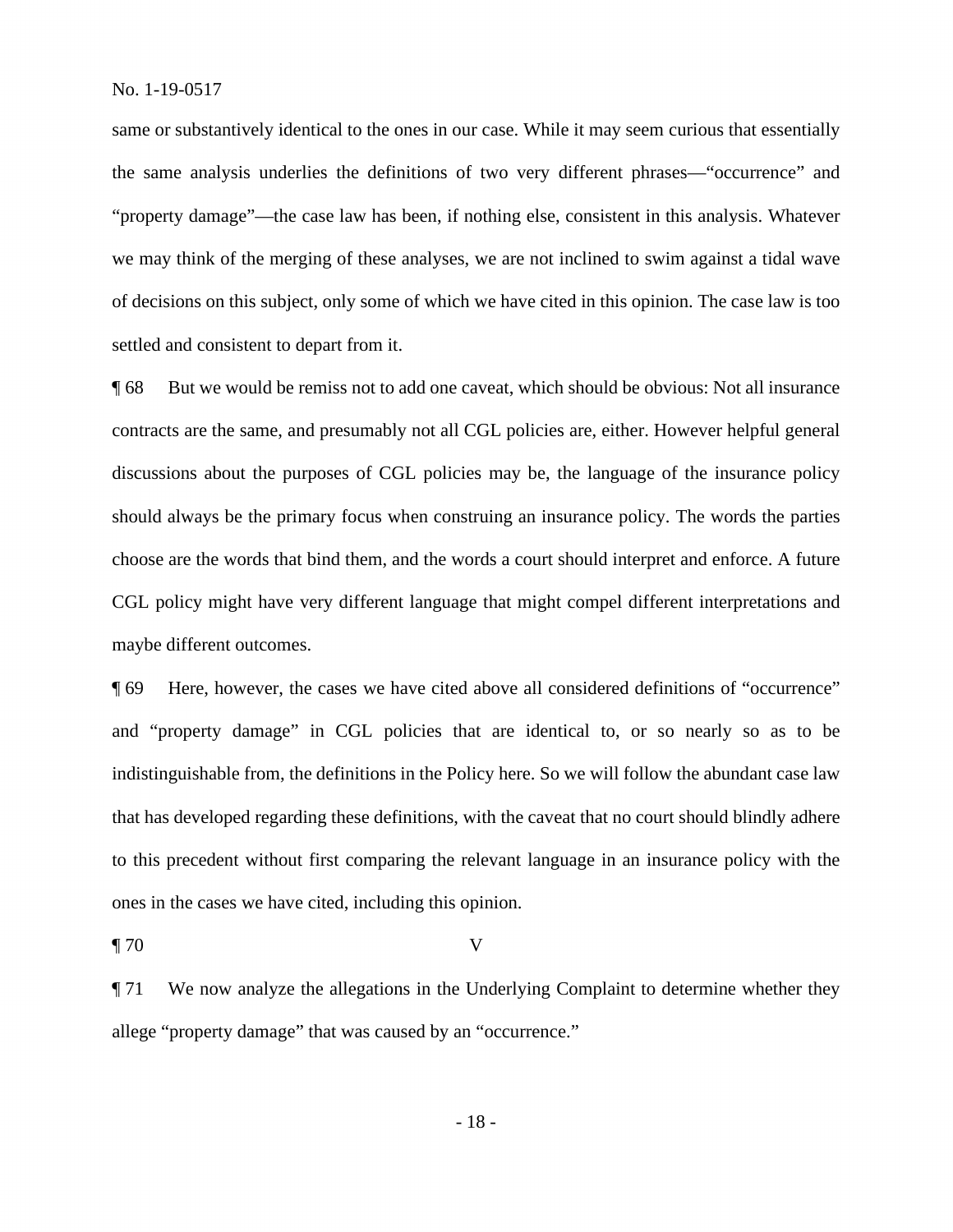same or substantively identical to the ones in our case. While it may seem curious that essentially the same analysis underlies the definitions of two very different phrases—"occurrence" and "property damage"—the case law has been, if nothing else, consistent in this analysis. Whatever we may think of the merging of these analyses, we are not inclined to swim against a tidal wave of decisions on this subject, only some of which we have cited in this opinion. The case law is too settled and consistent to depart from it.

 ¶ 68 But we would be remiss not to add one caveat, which should be obvious: Not all insurance contracts are the same, and presumably not all CGL policies are, either. However helpful general discussions about the purposes of CGL policies may be, the language of the insurance policy should always be the primary focus when construing an insurance policy. The words the parties choose are the words that bind them, and the words a court should interpret and enforce. A future CGL policy might have very different language that might compel different interpretations and maybe different outcomes.

ones in the cases we have cited, including this opinion.<br>
¶ 70 V ¶ 69 Here, however, the cases we have cited above all considered definitions of "occurrence" and "property damage" in CGL policies that are identical to, or so nearly so as to be indistinguishable from, the definitions in the Policy here. So we will follow the abundant case law that has developed regarding these definitions, with the caveat that no court should blindly adhere to this precedent without first comparing the relevant language in an insurance policy with the

¶ 71 We now analyze the allegations in the Underlying Complaint to determine whether they allege "property damage" that was caused by an "occurrence."

- 18 -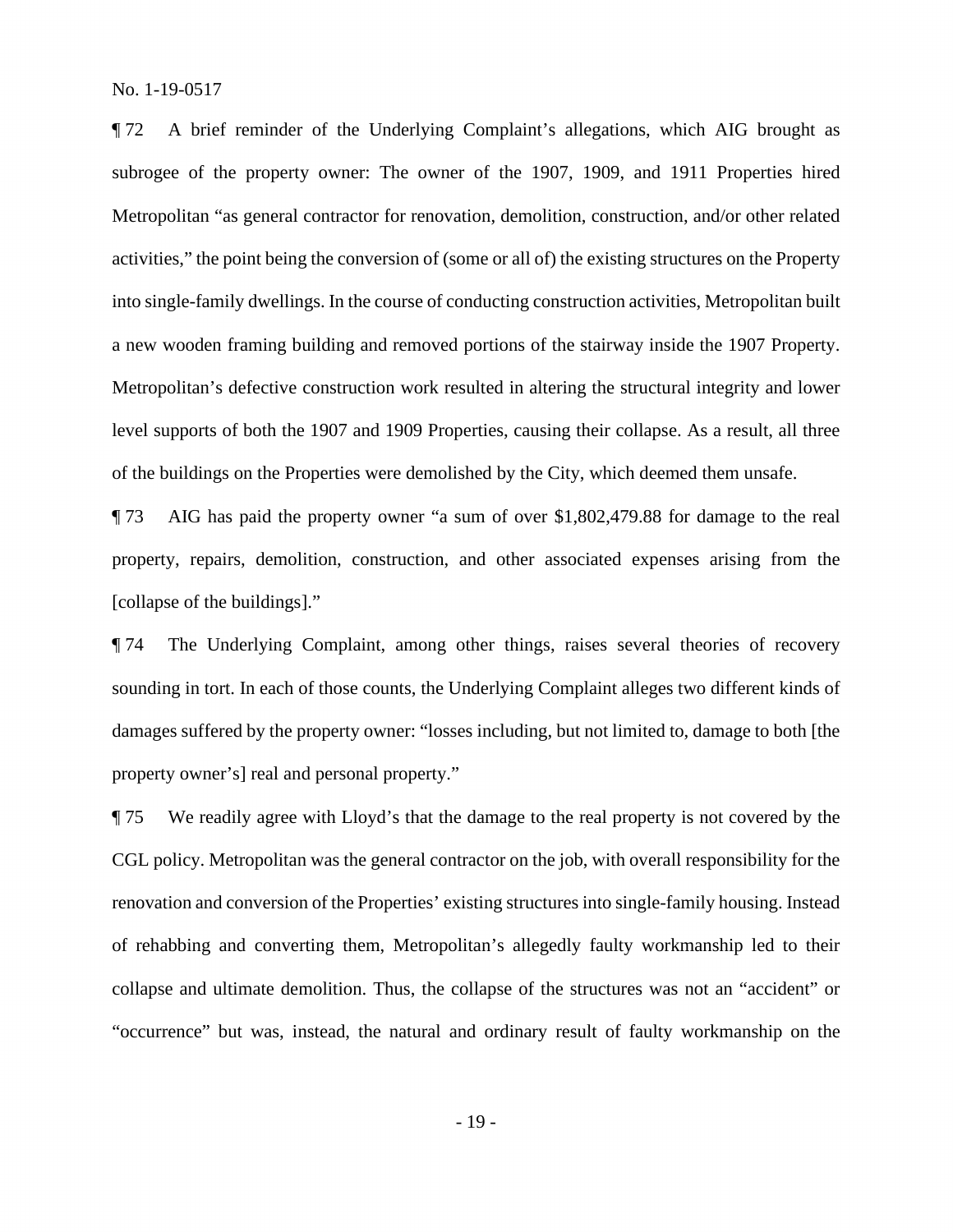Metropolitan "as general contractor for renovation, demolition, construction, and/or other related ¶ 72 A brief reminder of the Underlying Complaint's allegations, which AIG brought as subrogee of the property owner: The owner of the 1907, 1909, and 1911 Properties hired activities," the point being the conversion of (some or all of) the existing structures on the Property into single-family dwellings. In the course of conducting construction activities, Metropolitan built a new wooden framing building and removed portions of the stairway inside the 1907 Property. Metropolitan's defective construction work resulted in altering the structural integrity and lower level supports of both the 1907 and 1909 Properties, causing their collapse. As a result, all three of the buildings on the Properties were demolished by the City, which deemed them unsafe.

¶ 73 AIG has paid the property owner "a sum of over [\\$1,802,479.88](https://1,802,479.88) for damage to the real property, repairs, demolition, construction, and other associated expenses arising from the [collapse of the buildings]."

 property owner's] real and personal property." ¶ 74 The Underlying Complaint, among other things, raises several theories of recovery sounding in tort. In each of those counts, the Underlying Complaint alleges two different kinds of damages suffered by the property owner: "losses including, but not limited to, damage to both [the

¶ 75 We readily agree with Lloyd's that the damage to the real property is not covered by the CGL policy. Metropolitan was the general contractor on the job, with overall responsibility for the renovation and conversion of the Properties' existing structures into single-family housing. Instead of rehabbing and converting them, Metropolitan's allegedly faulty workmanship led to their collapse and ultimate demolition. Thus, the collapse of the structures was not an "accident" or "occurrence" but was, instead, the natural and ordinary result of faulty workmanship on the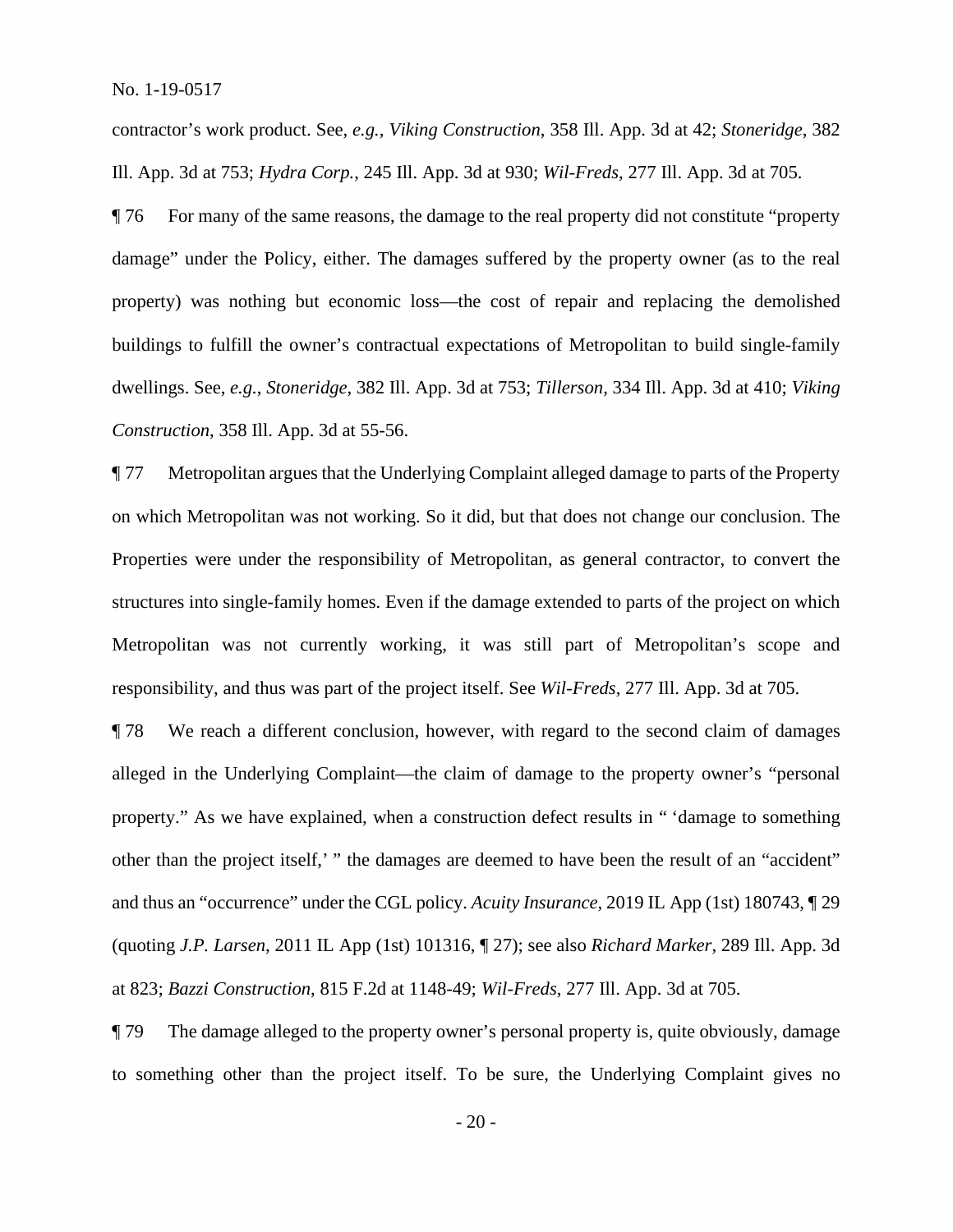contractor's work product. See, *e.g.*, *Viking Construction*, 358 Ill. App. 3d at 42; *Stoneridge*, 382 Ill. App. 3d at 753; *Hydra Corp.*, 245 Ill. App. 3d at 930; *Wil-Freds*, 277 Ill. App. 3d at 705.

¶ 76 For many of the same reasons, the damage to the real property did not constitute "property damage" under the Policy, either. The damages suffered by the property owner (as to the real property) was nothing but economic loss—the cost of repair and replacing the demolished buildings to fulfill the owner's contractual expectations of Metropolitan to build single-family dwellings. See, *e.g.*, *Stoneridge*, 382 Ill. App. 3d at 753; *Tillerson*, 334 Ill. App. 3d at 410; *Viking Construction*, 358 Ill. App. 3d at 55-56.

¶ 77 Metropolitan argues that the Underlying Complaint alleged damage to parts of the Property on which Metropolitan was not working. So it did, but that does not change our conclusion. The Properties were under the responsibility of Metropolitan, as general contractor, to convert the structures into single-family homes. Even if the damage extended to parts of the project on which Metropolitan was not currently working, it was still part of Metropolitan's scope and responsibility, and thus was part of the project itself. See *Wil-Freds*, 277 Ill. App. 3d at 705.

¶ 78 We reach a different conclusion, however, with regard to the second claim of damages alleged in the Underlying Complaint—the claim of damage to the property owner's "personal property." As we have explained, when a construction defect results in " 'damage to something other than the project itself,' " the damages are deemed to have been the result of an "accident" and thus an "occurrence" under the CGL policy. *Acuity Insurance*, 2019 IL App (1st) 180743, ¶ 29 (quoting *J.P. Larsen*, 2011 IL App (1st) 101316, ¶ 27); see also *Richard Marker*, 289 Ill. App. 3d at 823; *Bazzi Construction*, 815 F.2d at 1148-49; *Wil-Freds*, 277 Ill. App. 3d at 705.

¶ 79 The damage alleged to the property owner's personal property is, quite obviously, damage to something other than the project itself. To be sure, the Underlying Complaint gives no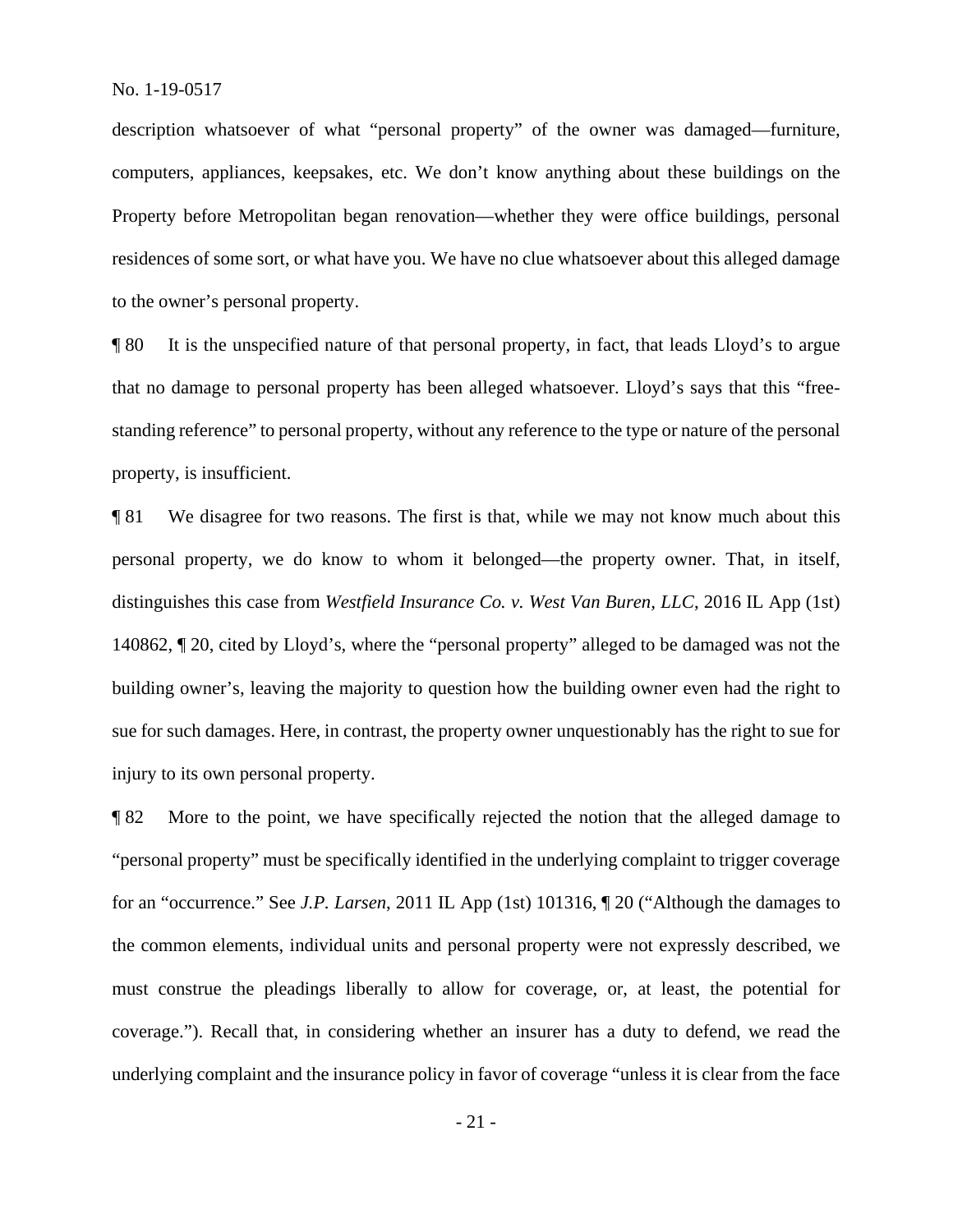computers, appliances, keepsakes, etc. We don't know anything about these buildings on the description whatsoever of what "personal property" of the owner was damaged—furniture, Property before Metropolitan began renovation—whether they were office buildings, personal residences of some sort, or what have you. We have no clue whatsoever about this alleged damage to the owner's personal property.

¶ 80 It is the unspecified nature of that personal property, in fact, that leads Lloyd's to argue that no damage to personal property has been alleged whatsoever. Lloyd's says that this "freestanding reference" to personal property, without any reference to the type or nature of the personal property, is insufficient.

¶ 81 We disagree for two reasons. The first is that, while we may not know much about this personal property, we do know to whom it belonged—the property owner. That, in itself, distinguishes this case from *Westfield Insurance Co. v. West Van Buren, LLC*, 2016 IL App (1st) 140862, ¶ 20, cited by Lloyd's, where the "personal property" alleged to be damaged was not the building owner's, leaving the majority to question how the building owner even had the right to sue for such damages. Here, in contrast, the property owner unquestionably has the right to sue for injury to its own personal property.

 ¶ 82 More to the point, we have specifically rejected the notion that the alleged damage to "personal property" must be specifically identified in the underlying complaint to trigger coverage for an "occurrence." See *J.P. Larsen*, 2011 IL App (1st) 101316, ¶ 20 ("Although the damages to the common elements, individual units and personal property were not expressly described, we must construe the pleadings liberally to allow for coverage, or, at least, the potential for coverage."). Recall that, in considering whether an insurer has a duty to defend, we read the underlying complaint and the insurance policy in favor of coverage "unless it is clear from the face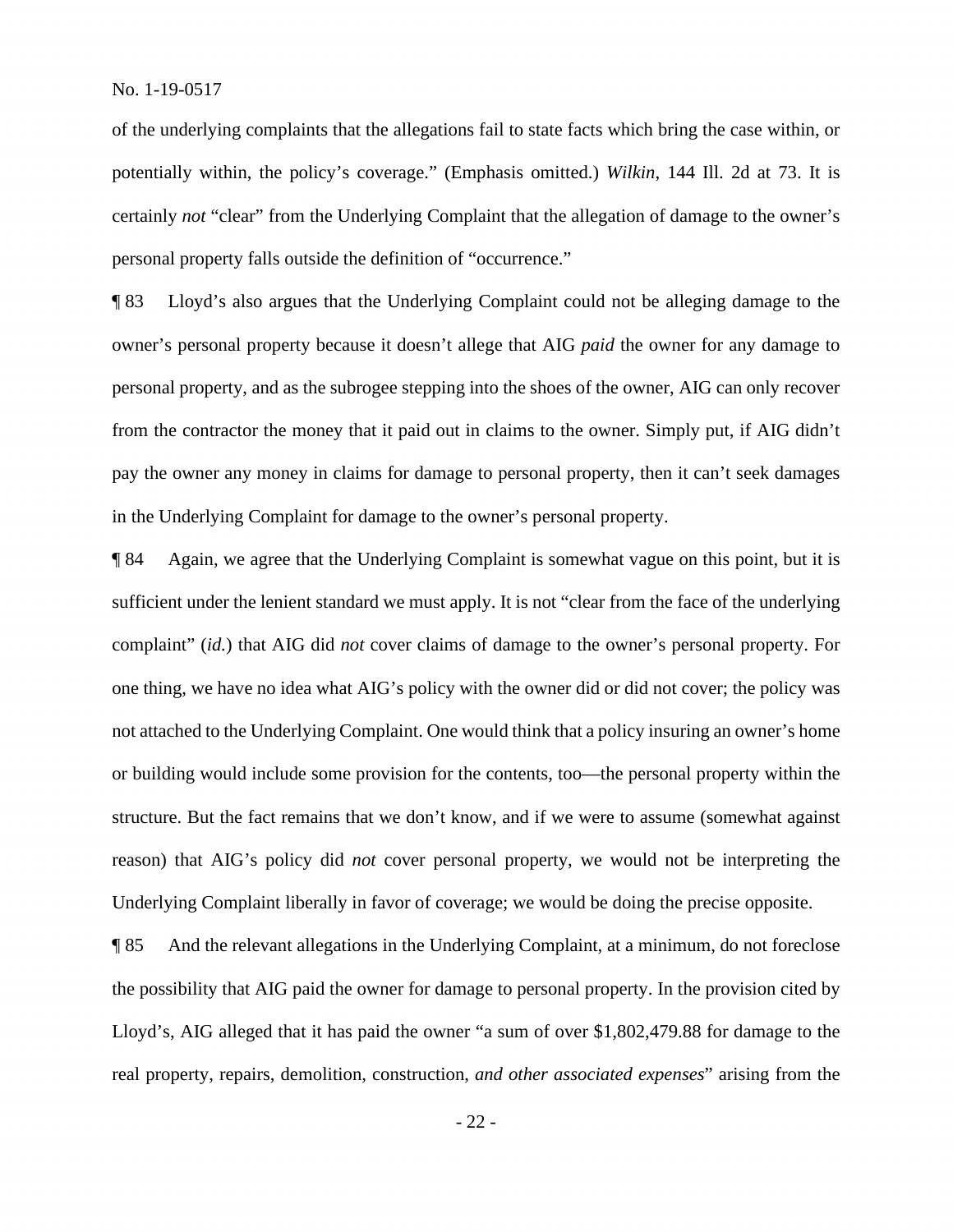certainly *not* "clear" from the Underlying Complaint that the allegation of damage to the owner's of the underlying complaints that the allegations fail to state facts which bring the case within, or potentially within, the policy's coverage." (Emphasis omitted.) *Wilkin*, 144 Ill. 2d at 73. It is personal property falls outside the definition of "occurrence."

 owner's personal property because it doesn't allege that AIG *paid* the owner for any damage to ¶ 83 Lloyd's also argues that the Underlying Complaint could not be alleging damage to the personal property, and as the subrogee stepping into the shoes of the owner, AIG can only recover from the contractor the money that it paid out in claims to the owner. Simply put, if AIG didn't pay the owner any money in claims for damage to personal property, then it can't seek damages in the Underlying Complaint for damage to the owner's personal property.

¶ 84 Again, we agree that the Underlying Complaint is somewhat vague on this point, but it is sufficient under the lenient standard we must apply. It is not "clear from the face of the underlying complaint" (*id.*) that AIG did *not* cover claims of damage to the owner's personal property. For one thing, we have no idea what AIG's policy with the owner did or did not cover; the policy was not attached to the Underlying Complaint. One would think that a policy insuring an owner's home or building would include some provision for the contents, too—the personal property within the structure. But the fact remains that we don't know, and if we were to assume (somewhat against reason) that AIG's policy did *not* cover personal property, we would not be interpreting the Underlying Complaint liberally in favor of coverage; we would be doing the precise opposite.

¶ 85 And the relevant allegations in the Underlying Complaint, at a minimum, do not foreclose the possibility that AIG paid the owner for damage to personal property. In the provision cited by Lloyd's, AIG alleged that it has paid the owner "a sum of over \$[1,802,479.88](https://1,802,479.88) for damage to the real property, repairs, demolition, construction, *and other associated expenses*" arising from the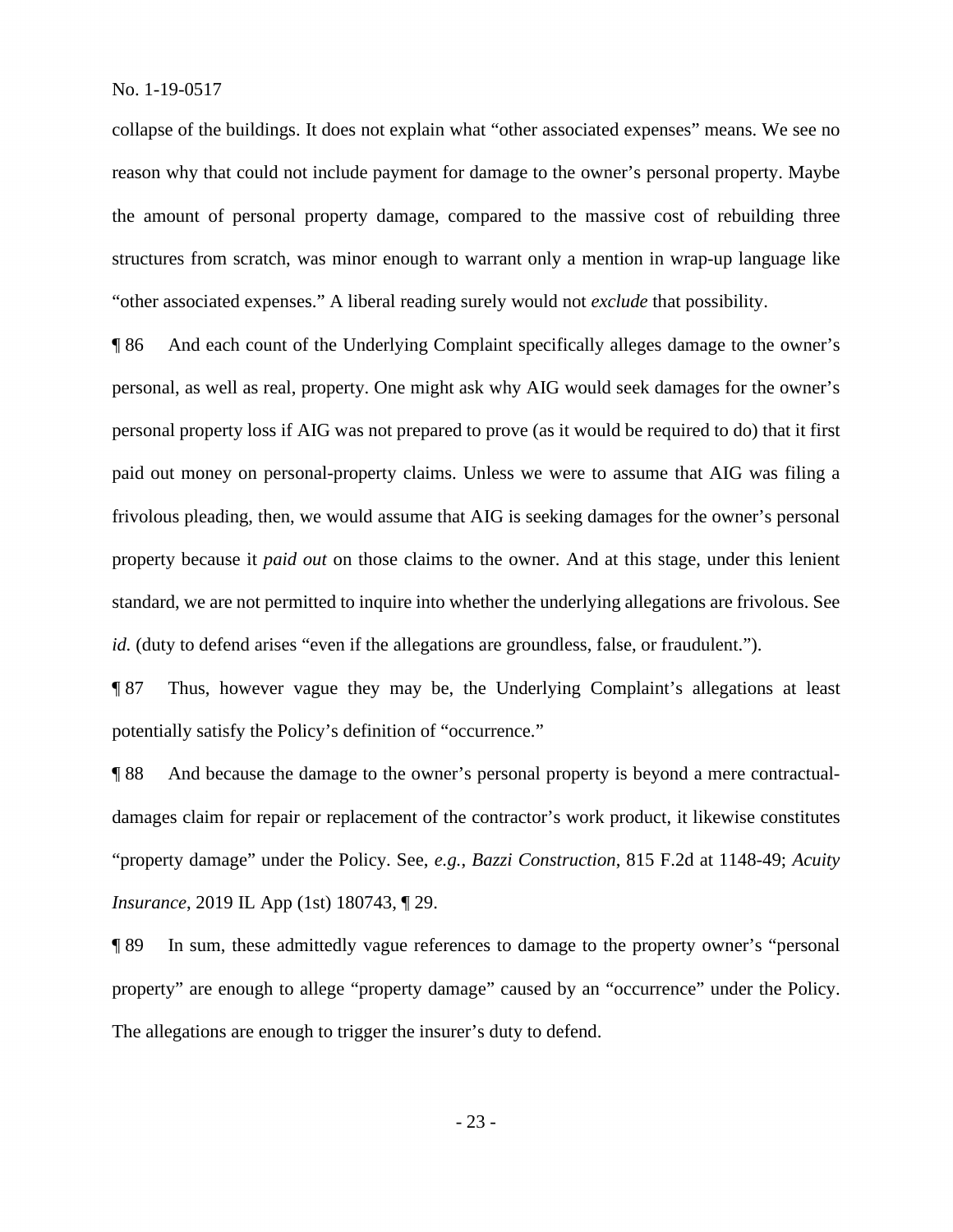collapse of the buildings. It does not explain what "other associated expenses" means. We see no "other associated expenses." A liberal reading surely would not *exclude* that possibility. reason why that could not include payment for damage to the owner's personal property. Maybe the amount of personal property damage, compared to the massive cost of rebuilding three structures from scratch, was minor enough to warrant only a mention in wrap-up language like

 personal, as well as real, property. One might ask why AIG would seek damages for the owner's personal property loss if AIG was not prepared to prove (as it would be required to do) that it first ¶ 86 And each count of the Underlying Complaint specifically alleges damage to the owner's paid out money on personal-property claims. Unless we were to assume that AIG was filing a frivolous pleading, then, we would assume that AIG is seeking damages for the owner's personal property because it *paid out* on those claims to the owner. And at this stage, under this lenient standard, we are not permitted to inquire into whether the underlying allegations are frivolous. See *id.* (duty to defend arises "even if the allegations are groundless, false, or fraudulent.").

¶ 87 Thus, however vague they may be, the Underlying Complaint's allegations at least potentially satisfy the Policy's definition of "occurrence."

¶ 88 And because the damage to the owner's personal property is beyond a mere contractualdamages claim for repair or replacement of the contractor's work product, it likewise constitutes "property damage" under the Policy. See, *e.g.*, *Bazzi Construction*, 815 F.2d at 1148-49; *Acuity Insurance*, 2019 IL App (1st) 180743, ¶ 29.

¶ 89 In sum, these admittedly vague references to damage to the property owner's "personal property" are enough to allege "property damage" caused by an "occurrence" under the Policy. The allegations are enough to trigger the insurer's duty to defend.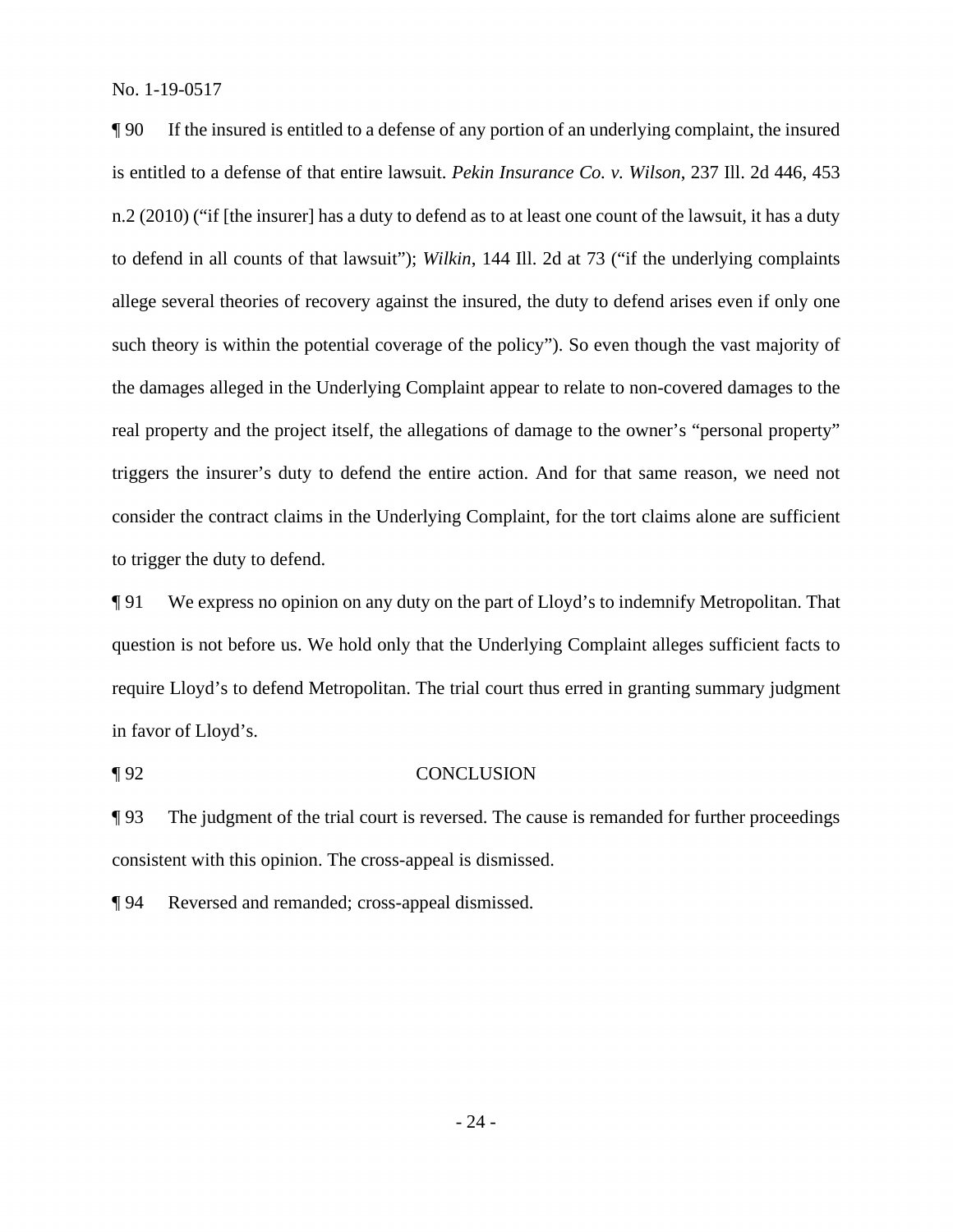¶ 90 If the insured is entitled to a defense of any portion of an underlying complaint, the insured is entitled to a defense of that entire lawsuit. *Pekin Insurance Co. v. Wilson*, 237 Ill. 2d 446, 453 n.2 (2010) ("if [the insurer] has a duty to defend as to at least one count of the lawsuit, it has a duty to defend in all counts of that lawsuit"); *Wilkin*, 144 Ill. 2d at 73 ("if the underlying complaints allege several theories of recovery against the insured, the duty to defend arises even if only one such theory is within the potential coverage of the policy"). So even though the vast majority of the damages alleged in the Underlying Complaint appear to relate to non-covered damages to the real property and the project itself, the allegations of damage to the owner's "personal property" triggers the insurer's duty to defend the entire action. And for that same reason, we need not consider the contract claims in the Underlying Complaint, for the tort claims alone are sufficient to trigger the duty to defend.

in favor of Lloyd's. ¶ 91 We express no opinion on any duty on the part of Lloyd's to indemnify Metropolitan. That question is not before us. We hold only that the Underlying Complaint alleges sufficient facts to require Lloyd's to defend Metropolitan. The trial court thus erred in granting summary judgment in favor of Lloyd's.<br>¶ 92 CONCLUSION

¶ 93 The judgment of the trial court is reversed. The cause is remanded for further proceedings consistent with this opinion. The cross-appeal is dismissed.

¶ 94 Reversed and remanded; cross-appeal dismissed.